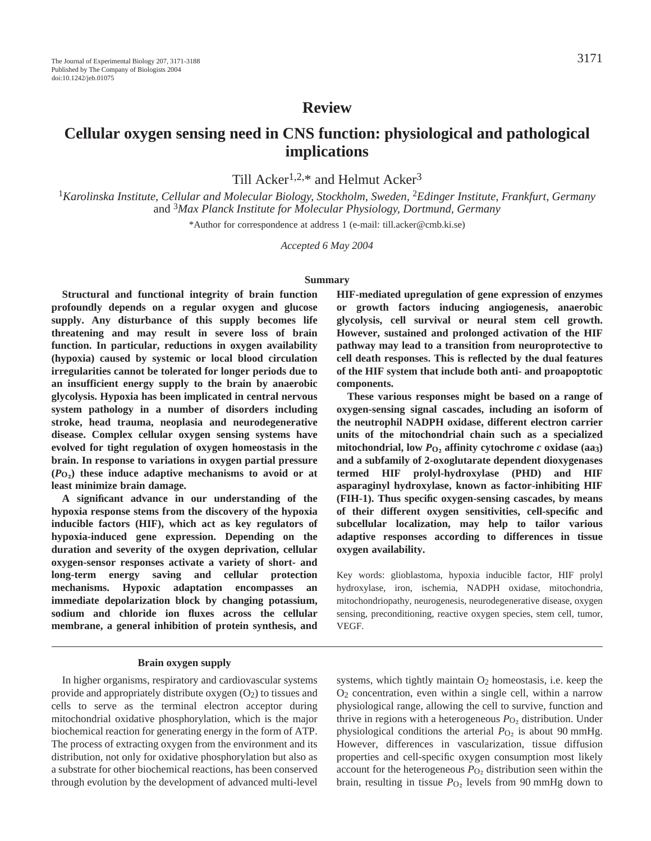# **Review**

# **Cellular oxygen sensing need in CNS function: physiological and pathological implications**

Till Acker<sup>1,2,\*</sup> and Helmut Acker<sup>3</sup>

<sup>1</sup>*Karolinska Institute, Cellular and Molecular Biology, Stockholm, Sweden,* <sup>2</sup>*Edinger Institute, Frankfurt, Germany* and 3*Max Planck Institute for Molecular Physiology, Dortmund, Germany*

\*Author for correspondence at address 1 (e-mail: till.acker@cmb.ki.se)

*Accepted 6 May 2004*

### **Summary**

**Structural and functional integrity of brain function profoundly depends on a regular oxygen and glucose supply. Any disturbance of this supply becomes life threatening and may result in severe loss of brain function. In particular, reductions in oxygen availability (hypoxia) caused by systemic or local blood circulation irregularities cannot be tolerated for longer periods due to an insufficient energy supply to the brain by anaerobic glycolysis. Hypoxia has been implicated in central nervous system pathology in a number of disorders including stroke, head trauma, neoplasia and neurodegenerative disease. Complex cellular oxygen sensing systems have evolved for tight regulation of oxygen homeostasis in the brain. In response to variations in oxygen partial pressure**  $(P<sub>O<sub>2</sub></sub>)$  these induce adaptive mechanisms to avoid or at **least minimize brain damage.**

**A significant advance in our understanding of the hypoxia response stems from the discovery of the hypoxia inducible factors (HIF), which act as key regulators of hypoxia-induced gene expression. Depending on the duration and severity of the oxygen deprivation, cellular oxygen-sensor responses activate a variety of short- and long-term energy saving and cellular protection mechanisms. Hypoxic adaptation encompasses an immediate depolarization block by changing potassium, sodium and chloride ion fluxes across the cellular membrane, a general inhibition of protein synthesis, and**

**HIF-mediated upregulation of gene expression of enzymes or growth factors inducing angiogenesis, anaerobic glycolysis, cell survival or neural stem cell growth. However, sustained and prolonged activation of the HIF pathway may lead to a transition from neuroprotective to cell death responses. This is reflected by the dual features of the HIF system that include both anti- and proapoptotic components.**

**These various responses might be based on a range of oxygen-sensing signal cascades, including an isoform of the neutrophil NADPH oxidase, different electron carrier units of the mitochondrial chain such as a specialized mitochondrial, low**  $P_{\text{O}_2}$  **affinity cytochrome** *c* **oxidase (aa3) and a subfamily of 2-oxoglutarate dependent dioxygenases termed HIF prolyl-hydroxylase (PHD) and HIF asparaginyl hydroxylase, known as factor-inhibiting HIF (FIH-1). Thus specific oxygen-sensing cascades, by means of their different oxygen sensitivities, cell-specific and subcellular localization, may help to tailor various adaptive responses according to differences in tissue oxygen availability.**

Key words: glioblastoma, hypoxia inducible factor, HIF prolyl hydroxylase, iron, ischemia, NADPH oxidase, mitochondria, mitochondriopathy, neurogenesis, neurodegenerative disease, oxygen sensing, preconditioning, reactive oxygen species, stem cell, tumor, VEGF.

#### **Brain oxygen supply**

In higher organisms, respiratory and cardiovascular systems provide and appropriately distribute oxygen (O2) to tissues and cells to serve as the terminal electron acceptor during mitochondrial oxidative phosphorylation, which is the major biochemical reaction for generating energy in the form of ATP. The process of extracting oxygen from the environment and its distribution, not only for oxidative phosphorylation but also as a substrate for other biochemical reactions, has been conserved through evolution by the development of advanced multi-level

systems, which tightly maintain  $O<sub>2</sub>$  homeostasis, i.e. keep the O2 concentration, even within a single cell, within a narrow physiological range, allowing the cell to survive, function and thrive in regions with a heterogeneous *P*<sub>O2</sub> distribution. Under physiological conditions the arterial  $P_{\text{O}_2}$  is about 90 mmHg. However, differences in vascularization, tissue diffusion properties and cell-specific oxygen consumption most likely account for the heterogeneous *P*<sub>O2</sub> distribution seen within the brain, resulting in tissue  $P_{\text{O}_2}$  levels from 90 mmHg down to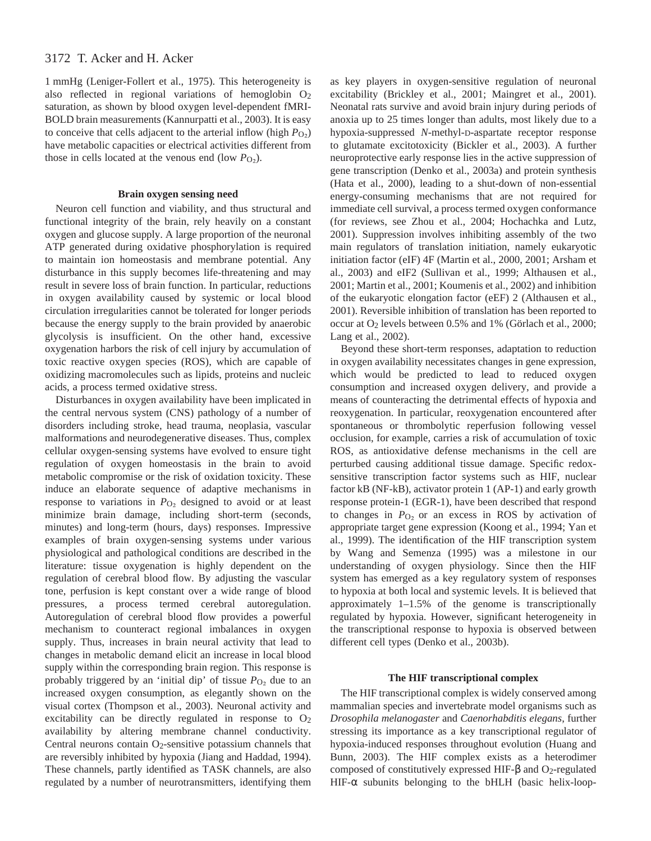1 mmHg (Leniger-Follert et al., 1975). This heterogeneity is also reflected in regional variations of hemoglobin  $O_2$ saturation, as shown by blood oxygen level-dependent fMRI-BOLD brain measurements (Kannurpatti et al., 2003). It is easy to conceive that cells adjacent to the arterial inflow (high  $P_{\text{O}_2}$ ) have metabolic capacities or electrical activities different from those in cells located at the venous end (low  $P_{\text{O}_2}$ ).

### **Brain oxygen sensing need**

Neuron cell function and viability, and thus structural and functional integrity of the brain, rely heavily on a constant oxygen and glucose supply. A large proportion of the neuronal ATP generated during oxidative phosphorylation is required to maintain ion homeostasis and membrane potential. Any disturbance in this supply becomes life-threatening and may result in severe loss of brain function. In particular, reductions in oxygen availability caused by systemic or local blood circulation irregularities cannot be tolerated for longer periods because the energy supply to the brain provided by anaerobic glycolysis is insufficient. On the other hand, excessive oxygenation harbors the risk of cell injury by accumulation of toxic reactive oxygen species (ROS), which are capable of oxidizing macromolecules such as lipids, proteins and nucleic acids, a process termed oxidative stress.

Disturbances in oxygen availability have been implicated in the central nervous system (CNS) pathology of a number of disorders including stroke, head trauma, neoplasia, vascular malformations and neurodegenerative diseases. Thus, complex cellular oxygen-sensing systems have evolved to ensure tight regulation of oxygen homeostasis in the brain to avoid metabolic compromise or the risk of oxidation toxicity. These induce an elaborate sequence of adaptive mechanisms in response to variations in *P*<sub>O2</sub> designed to avoid or at least minimize brain damage, including short-term (seconds, minutes) and long-term (hours, days) responses. Impressive examples of brain oxygen-sensing systems under various physiological and pathological conditions are described in the literature: tissue oxygenation is highly dependent on the regulation of cerebral blood flow. By adjusting the vascular tone, perfusion is kept constant over a wide range of blood pressures, a process termed cerebral autoregulation. Autoregulation of cerebral blood flow provides a powerful mechanism to counteract regional imbalances in oxygen supply. Thus, increases in brain neural activity that lead to changes in metabolic demand elicit an increase in local blood supply within the corresponding brain region. This response is probably triggered by an 'initial dip' of tissue  $P<sub>O<sub>2</sub></sub>$  due to an increased oxygen consumption, as elegantly shown on the visual cortex (Thompson et al., 2003). Neuronal activity and excitability can be directly regulated in response to O<sub>2</sub> availability by altering membrane channel conductivity. Central neurons contain  $O<sub>2</sub>$ -sensitive potassium channels that are reversibly inhibited by hypoxia (Jiang and Haddad, 1994). These channels, partly identified as TASK channels, are also regulated by a number of neurotransmitters, identifying them

as key players in oxygen-sensitive regulation of neuronal excitability (Brickley et al., 2001; Maingret et al., 2001). Neonatal rats survive and avoid brain injury during periods of anoxia up to 25 times longer than adults, most likely due to a hypoxia-suppressed *N*-methyl-D-aspartate receptor response to glutamate excitotoxicity (Bickler et al., 2003). A further neuroprotective early response lies in the active suppression of gene transcription (Denko et al., 2003a) and protein synthesis (Hata et al., 2000), leading to a shut-down of non-essential energy-consuming mechanisms that are not required for immediate cell survival, a process termed oxygen conformance (for reviews, see Zhou et al., 2004; Hochachka and Lutz, 2001). Suppression involves inhibiting assembly of the two main regulators of translation initiation, namely eukaryotic initiation factor (eIF) 4F (Martin et al., 2000, 2001; Arsham et al., 2003) and eIF2 (Sullivan et al., 1999; Althausen et al., 2001; Martin et al., 2001; Koumenis et al., 2002) and inhibition of the eukaryotic elongation factor (eEF) 2 (Althausen et al., 2001). Reversible inhibition of translation has been reported to occur at O2 levels between 0.5% and 1% (Görlach et al., 2000; Lang et al., 2002).

Beyond these short-term responses, adaptation to reduction in oxygen availability necessitates changes in gene expression, which would be predicted to lead to reduced oxygen consumption and increased oxygen delivery, and provide a means of counteracting the detrimental effects of hypoxia and reoxygenation. In particular, reoxygenation encountered after spontaneous or thrombolytic reperfusion following vessel occlusion, for example, carries a risk of accumulation of toxic ROS, as antioxidative defense mechanisms in the cell are perturbed causing additional tissue damage. Specific redoxsensitive transcription factor systems such as HIF, nuclear factor kB (NF-kB), activator protein 1 (AP-1) and early growth response protein-1 (EGR-1), have been described that respond to changes in  $P<sub>O<sub>2</sub></sub>$  or an excess in ROS by activation of appropriate target gene expression (Koong et al., 1994; Yan et al., 1999). The identification of the HIF transcription system by Wang and Semenza (1995) was a milestone in our understanding of oxygen physiology. Since then the HIF system has emerged as a key regulatory system of responses to hypoxia at both local and systemic levels. It is believed that approximately 1–1.5% of the genome is transcriptionally regulated by hypoxia. However, significant heterogeneity in the transcriptional response to hypoxia is observed between different cell types (Denko et al., 2003b).

#### **The HIF transcriptional complex**

The HIF transcriptional complex is widely conserved among mammalian species and invertebrate model organisms such as *Drosophila melanogaster* and *Caenorhabditis elegans*, further stressing its importance as a key transcriptional regulator of hypoxia-induced responses throughout evolution (Huang and Bunn, 2003). The HIF complex exists as a heterodimer composed of constitutively expressed HIF-β and O2-regulated HIF-α subunits belonging to the bHLH (basic helix-loop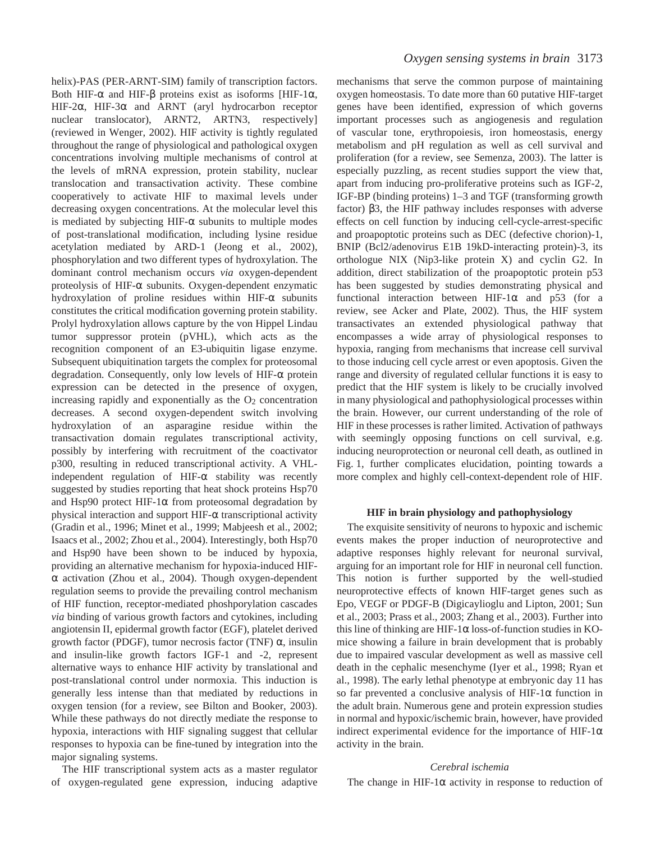helix)-PAS (PER-ARNT-SIM) family of transcription factors. Both HIF- $\alpha$  and HIF- $\beta$  proteins exist as isoforms [HIF-1 $\alpha$ , HIF-2α, HIF-3α and ARNT (aryl hydrocarbon receptor nuclear translocator), ARNT2, ARTN3, respectively] (reviewed in Wenger, 2002). HIF activity is tightly regulated throughout the range of physiological and pathological oxygen concentrations involving multiple mechanisms of control at the levels of mRNA expression, protein stability, nuclear translocation and transactivation activity. These combine cooperatively to activate HIF to maximal levels under decreasing oxygen concentrations. At the molecular level this is mediated by subjecting HIF- $\alpha$  subunits to multiple modes of post-translational modification, including lysine residue acetylation mediated by ARD-1 (Jeong et al., 2002), phosphorylation and two different types of hydroxylation. The dominant control mechanism occurs *via* oxygen-dependent proteolysis of HIF-α subunits. Oxygen-dependent enzymatic hydroxylation of proline residues within HIF-α subunits constitutes the critical modification governing protein stability. Prolyl hydroxylation allows capture by the von Hippel Lindau tumor suppressor protein (pVHL), which acts as the recognition component of an E3-ubiquitin ligase enzyme. Subsequent ubiquitination targets the complex for proteosomal degradation. Consequently, only low levels of HIF-α protein expression can be detected in the presence of oxygen, increasing rapidly and exponentially as the  $O<sub>2</sub>$  concentration decreases. A second oxygen-dependent switch involving hydroxylation of an asparagine residue within the transactivation domain regulates transcriptional activity, possibly by interfering with recruitment of the coactivator p300, resulting in reduced transcriptional activity. A VHLindependent regulation of  $HIF-\alpha$  stability was recently suggested by studies reporting that heat shock proteins Hsp70 and Hsp90 protect HIF-1 $\alpha$  from proteosomal degradation by physical interaction and support  $HIF-\alpha$  transcriptional activity (Gradin et al., 1996; Minet et al., 1999; Mabjeesh et al., 2002; Isaacs et al., 2002; Zhou et al., 2004). Interestingly, both Hsp70 and Hsp90 have been shown to be induced by hypoxia, providing an alternative mechanism for hypoxia-induced HIFα activation (Zhou et al., 2004). Though oxygen-dependent regulation seems to provide the prevailing control mechanism of HIF function, receptor-mediated phoshporylation cascades *via* binding of various growth factors and cytokines, including angiotensin II, epidermal growth factor (EGF), platelet derived growth factor (PDGF), tumor necrosis factor (TNF)  $\alpha$ , insulin and insulin-like growth factors IGF-1 and -2, represent alternative ways to enhance HIF activity by translational and post-translational control under normoxia. This induction is generally less intense than that mediated by reductions in oxygen tension (for a review, see Bilton and Booker, 2003). While these pathways do not directly mediate the response to hypoxia, interactions with HIF signaling suggest that cellular responses to hypoxia can be fine-tuned by integration into the major signaling systems.

The HIF transcriptional system acts as a master regulator of oxygen-regulated gene expression, inducing adaptive mechanisms that serve the common purpose of maintaining oxygen homeostasis. To date more than 60 putative HIF-target genes have been identified, expression of which governs important processes such as angiogenesis and regulation of vascular tone, erythropoiesis, iron homeostasis, energy metabolism and pH regulation as well as cell survival and proliferation (for a review, see Semenza, 2003). The latter is especially puzzling, as recent studies support the view that, apart from inducing pro-proliferative proteins such as IGF-2, IGF-BP (binding proteins) 1–3 and TGF (transforming growth factor) β3, the HIF pathway includes responses with adverse effects on cell function by inducing cell-cycle-arrest-specific and proapoptotic proteins such as DEC (defective chorion)-1, BNIP (Bcl2/adenovirus E1B 19kD-interacting protein)-3, its orthologue NIX (Nip3-like protein X) and cyclin G2. In addition, direct stabilization of the proapoptotic protein p53 has been suggested by studies demonstrating physical and functional interaction between HIF-1 $\alpha$  and p53 (for a review, see Acker and Plate, 2002). Thus, the HIF system transactivates an extended physiological pathway that encompasses a wide array of physiological responses to hypoxia, ranging from mechanisms that increase cell survival to those inducing cell cycle arrest or even apoptosis. Given the range and diversity of regulated cellular functions it is easy to predict that the HIF system is likely to be crucially involved in many physiological and pathophysiological processes within the brain. However, our current understanding of the role of HIF in these processes is rather limited. Activation of pathways with seemingly opposing functions on cell survival, e.g. inducing neuroprotection or neuronal cell death, as outlined in Fig. 1, further complicates elucidation, pointing towards a more complex and highly cell-context-dependent role of HIF.

#### **HIF in brain physiology and pathophysiology**

The exquisite sensitivity of neurons to hypoxic and ischemic events makes the proper induction of neuroprotective and adaptive responses highly relevant for neuronal survival, arguing for an important role for HIF in neuronal cell function. This notion is further supported by the well-studied neuroprotective effects of known HIF-target genes such as Epo, VEGF or PDGF-B (Digicaylioglu and Lipton, 2001; Sun et al., 2003; Prass et al., 2003; Zhang et al., 2003). Further into this line of thinking are HIF-1 $\alpha$  loss-of-function studies in KOmice showing a failure in brain development that is probably due to impaired vascular development as well as massive cell death in the cephalic mesenchyme (Iyer et al., 1998; Ryan et al., 1998). The early lethal phenotype at embryonic day 11 has so far prevented a conclusive analysis of HIF-1 $\alpha$  function in the adult brain. Numerous gene and protein expression studies in normal and hypoxic/ischemic brain, however, have provided indirect experimental evidence for the importance of HIF-1 $\alpha$ activity in the brain.

### *Cerebral ischemia*

The change in HIF-1 $\alpha$  activity in response to reduction of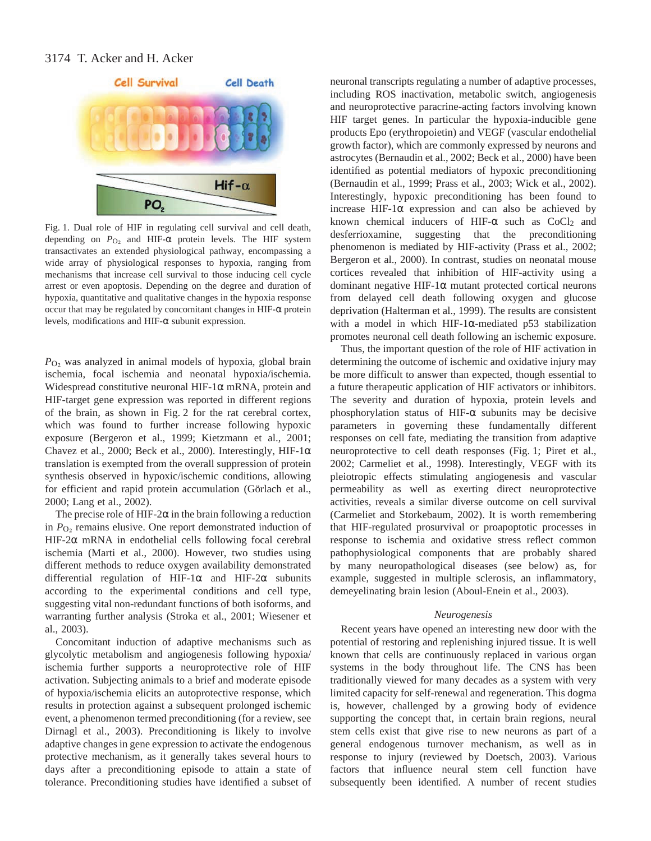

Fig. 1. Dual role of HIF in regulating cell survival and cell death, depending on  $P_{O_2}$  and HIF- $\alpha$  protein levels. The HIF system transactivates an extended physiological pathway, encompassing a wide array of physiological responses to hypoxia, ranging from mechanisms that increase cell survival to those inducing cell cycle arrest or even apoptosis. Depending on the degree and duration of hypoxia, quantitative and qualitative changes in the hypoxia response occur that may be regulated by concomitant changes in HIF-α protein levels, modifications and HIF-α subunit expression.

*P*O∑ was analyzed in animal models of hypoxia, global brain ischemia, focal ischemia and neonatal hypoxia/ischemia. Widespread constitutive neuronal HIF-1 $\alpha$  mRNA, protein and HIF-target gene expression was reported in different regions of the brain, as shown in Fig. 2 for the rat cerebral cortex, which was found to further increase following hypoxic exposure (Bergeron et al., 1999; Kietzmann et al., 2001; Chavez et al., 2000; Beck et al., 2000). Interestingly, HIF-1 $\alpha$ translation is exempted from the overall suppression of protein synthesis observed in hypoxic/ischemic conditions, allowing for efficient and rapid protein accumulation (Görlach et al., 2000; Lang et al., 2002).

The precise role of HIF- $2\alpha$  in the brain following a reduction in *P*<sub>O</sub>⋅ remains elusive. One report demonstrated induction of HIF-2α mRNA in endothelial cells following focal cerebral ischemia (Marti et al., 2000). However, two studies using different methods to reduce oxygen availability demonstrated differential regulation of HIF-1α and HIF-2α subunits according to the experimental conditions and cell type, suggesting vital non-redundant functions of both isoforms, and warranting further analysis (Stroka et al., 2001; Wiesener et al., 2003).

Concomitant induction of adaptive mechanisms such as glycolytic metabolism and angiogenesis following hypoxia/ ischemia further supports a neuroprotective role of HIF activation. Subjecting animals to a brief and moderate episode of hypoxia/ischemia elicits an autoprotective response, which results in protection against a subsequent prolonged ischemic event, a phenomenon termed preconditioning (for a review, see Dirnagl et al., 2003). Preconditioning is likely to involve adaptive changes in gene expression to activate the endogenous protective mechanism, as it generally takes several hours to days after a preconditioning episode to attain a state of tolerance. Preconditioning studies have identified a subset of neuronal transcripts regulating a number of adaptive processes, including ROS inactivation, metabolic switch, angiogenesis and neuroprotective paracrine-acting factors involving known HIF target genes. In particular the hypoxia-inducible gene products Epo (erythropoietin) and VEGF (vascular endothelial growth factor), which are commonly expressed by neurons and astrocytes (Bernaudin et al., 2002; Beck et al., 2000) have been identified as potential mediators of hypoxic preconditioning (Bernaudin et al., 1999; Prass et al., 2003; Wick et al., 2002). Interestingly, hypoxic preconditioning has been found to increase HIF-1α expression and can also be achieved by known chemical inducers of HIF- $\alpha$  such as CoCl<sub>2</sub> and desferrioxamine, suggesting that the preconditioning phenomenon is mediated by HIF-activity (Prass et al., 2002; Bergeron et al., 2000). In contrast, studies on neonatal mouse cortices revealed that inhibition of HIF-activity using a dominant negative HIF-1α mutant protected cortical neurons from delayed cell death following oxygen and glucose deprivation (Halterman et al., 1999). The results are consistent with a model in which HIF-1 $\alpha$ -mediated p53 stabilization promotes neuronal cell death following an ischemic exposure.

Thus, the important question of the role of HIF activation in determining the outcome of ischemic and oxidative injury may be more difficult to answer than expected, though essential to a future therapeutic application of HIF activators or inhibitors. The severity and duration of hypoxia, protein levels and phosphorylation status of HIF- $\alpha$  subunits may be decisive parameters in governing these fundamentally different responses on cell fate, mediating the transition from adaptive neuroprotective to cell death responses (Fig. 1; Piret et al., 2002; Carmeliet et al., 1998). Interestingly, VEGF with its pleiotropic effects stimulating angiogenesis and vascular permeability as well as exerting direct neuroprotective activities, reveals a similar diverse outcome on cell survival (Carmeliet and Storkebaum, 2002). It is worth remembering that HIF-regulated prosurvival or proapoptotic processes in response to ischemia and oxidative stress reflect common pathophysiological components that are probably shared by many neuropathological diseases (see below) as, for example, suggested in multiple sclerosis, an inflammatory, demeyelinating brain lesion (Aboul-Enein et al., 2003).

### *Neurogenesis*

Recent years have opened an interesting new door with the potential of restoring and replenishing injured tissue. It is well known that cells are continuously replaced in various organ systems in the body throughout life. The CNS has been traditionally viewed for many decades as a system with very limited capacity for self-renewal and regeneration. This dogma is, however, challenged by a growing body of evidence supporting the concept that, in certain brain regions, neural stem cells exist that give rise to new neurons as part of a general endogenous turnover mechanism, as well as in response to injury (reviewed by Doetsch, 2003). Various factors that influence neural stem cell function have subsequently been identified. A number of recent studies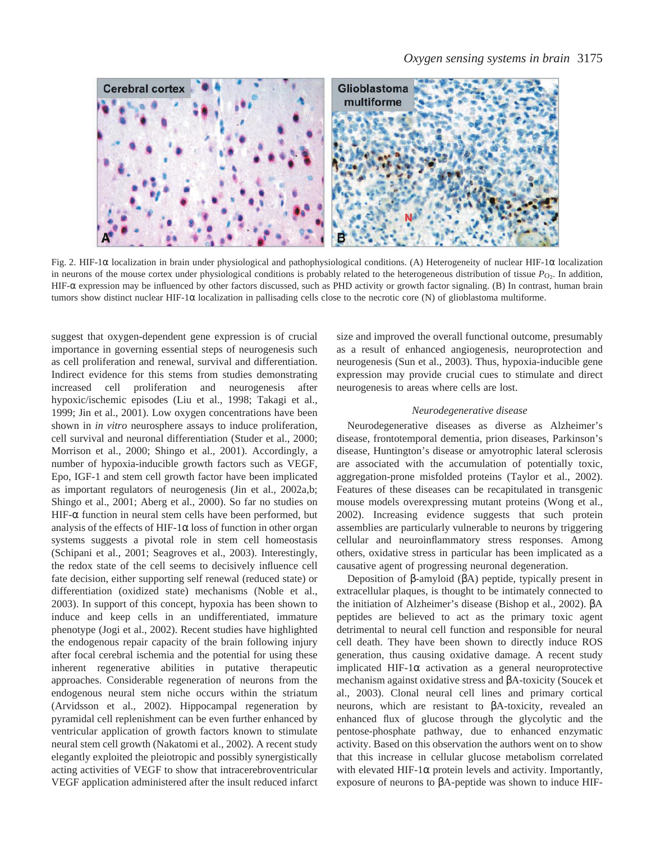

Fig. 2. HIF-1α localization in brain under physiological and pathophysiological conditions. (A) Heterogeneity of nuclear HIF-1α localization in neurons of the mouse cortex under physiological conditions is probably related to the heterogeneous distribution of tissue  $P_{\text{O}_2}$ . In addition, HIF- $\alpha$  expression may be influenced by other factors discussed, such as PHD activity or growth factor signaling. (B) In contrast, human brain tumors show distinct nuclear HIF-1α localization in pallisading cells close to the necrotic core (N) of glioblastoma multiforme.

suggest that oxygen-dependent gene expression is of crucial importance in governing essential steps of neurogenesis such as cell proliferation and renewal, survival and differentiation. Indirect evidence for this stems from studies demonstrating increased cell proliferation and neurogenesis after hypoxic/ischemic episodes (Liu et al., 1998; Takagi et al., 1999; Jin et al., 2001). Low oxygen concentrations have been shown in *in vitro* neurosphere assays to induce proliferation, cell survival and neuronal differentiation (Studer et al., 2000; Morrison et al., 2000; Shingo et al., 2001). Accordingly, a number of hypoxia-inducible growth factors such as VEGF, Epo, IGF-1 and stem cell growth factor have been implicated as important regulators of neurogenesis (Jin et al., 2002a,b; Shingo et al., 2001; Aberg et al., 2000). So far no studies on HIF- $\alpha$  function in neural stem cells have been performed, but analysis of the effects of HIF-1 $\alpha$  loss of function in other organ systems suggests a pivotal role in stem cell homeostasis (Schipani et al., 2001; Seagroves et al., 2003). Interestingly, the redox state of the cell seems to decisively influence cell fate decision, either supporting self renewal (reduced state) or differentiation (oxidized state) mechanisms (Noble et al., 2003). In support of this concept, hypoxia has been shown to induce and keep cells in an undifferentiated, immature phenotype (Jogi et al., 2002). Recent studies have highlighted the endogenous repair capacity of the brain following injury after focal cerebral ischemia and the potential for using these inherent regenerative abilities in putative therapeutic approaches. Considerable regeneration of neurons from the endogenous neural stem niche occurs within the striatum (Arvidsson et al., 2002). Hippocampal regeneration by pyramidal cell replenishment can be even further enhanced by ventricular application of growth factors known to stimulate neural stem cell growth (Nakatomi et al., 2002). A recent study elegantly exploited the pleiotropic and possibly synergistically acting activities of VEGF to show that intracerebroventricular VEGF application administered after the insult reduced infarct size and improved the overall functional outcome, presumably as a result of enhanced angiogenesis, neuroprotection and neurogenesis (Sun et al., 2003). Thus, hypoxia-inducible gene expression may provide crucial cues to stimulate and direct neurogenesis to areas where cells are lost.

#### *Neurodegenerative disease*

Neurodegenerative diseases as diverse as Alzheimer's disease, frontotemporal dementia, prion diseases, Parkinson's disease, Huntington's disease or amyotrophic lateral sclerosis are associated with the accumulation of potentially toxic, aggregation-prone misfolded proteins (Taylor et al., 2002). Features of these diseases can be recapitulated in transgenic mouse models overexpressing mutant proteins (Wong et al., 2002). Increasing evidence suggests that such protein assemblies are particularly vulnerable to neurons by triggering cellular and neuroinflammatory stress responses. Among others, oxidative stress in particular has been implicated as a causative agent of progressing neuronal degeneration.

Deposition of β-amyloid (βA) peptide, typically present in extracellular plaques, is thought to be intimately connected to the initiation of Alzheimer's disease (Bishop et al., 2002). βA peptides are believed to act as the primary toxic agent detrimental to neural cell function and responsible for neural cell death. They have been shown to directly induce ROS generation, thus causing oxidative damage. A recent study implicated HIF-1 $\alpha$  activation as a general neuroprotective mechanism against oxidative stress and βA-toxicity (Soucek et al., 2003). Clonal neural cell lines and primary cortical neurons, which are resistant to βA-toxicity, revealed an enhanced flux of glucose through the glycolytic and the pentose-phosphate pathway, due to enhanced enzymatic activity. Based on this observation the authors went on to show that this increase in cellular glucose metabolism correlated with elevated HIF-1 $\alpha$  protein levels and activity. Importantly, exposure of neurons to βA-peptide was shown to induce HIF-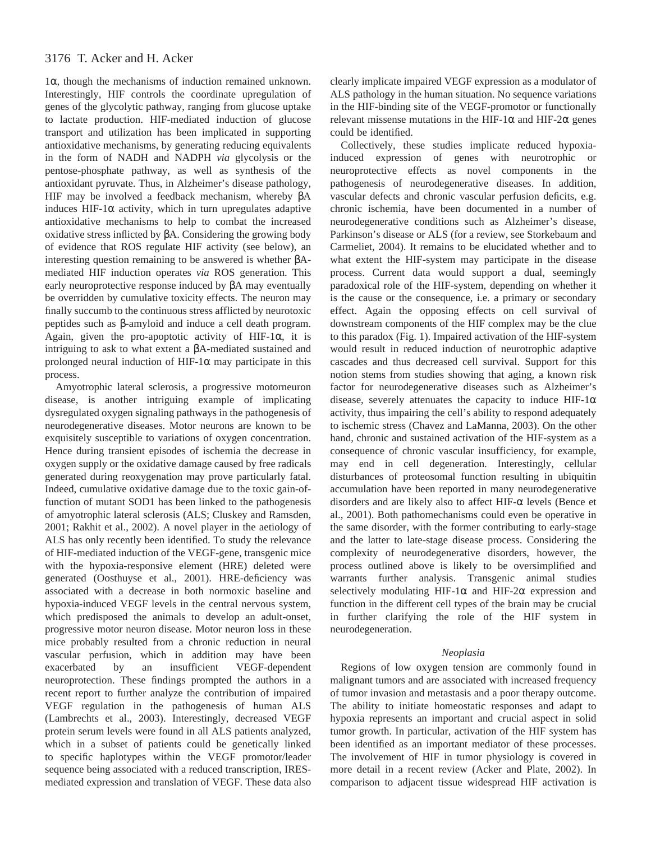1α, though the mechanisms of induction remained unknown. Interestingly, HIF controls the coordinate upregulation of genes of the glycolytic pathway, ranging from glucose uptake to lactate production. HIF-mediated induction of glucose transport and utilization has been implicated in supporting antioxidative mechanisms, by generating reducing equivalents in the form of NADH and NADPH *via* glycolysis or the pentose-phosphate pathway, as well as synthesis of the antioxidant pyruvate. Thus, in Alzheimer's disease pathology, HIF may be involved a feedback mechanism, whereby βA induces HIF-1 $\alpha$  activity, which in turn upregulates adaptive antioxidative mechanisms to help to combat the increased oxidative stress inflicted by βA. Considering the growing body of evidence that ROS regulate HIF activity (see below), an interesting question remaining to be answered is whether βAmediated HIF induction operates *via* ROS generation. This early neuroprotective response induced by βA may eventually be overridden by cumulative toxicity effects. The neuron may finally succumb to the continuous stress afflicted by neurotoxic peptides such as β-amyloid and induce a cell death program. Again, given the pro-apoptotic activity of HIF-1α, it is intriguing to ask to what extent a βA-mediated sustained and prolonged neural induction of HIF-1 $\alpha$  may participate in this process.

Amyotrophic lateral sclerosis, a progressive motorneuron disease, is another intriguing example of implicating dysregulated oxygen signaling pathways in the pathogenesis of neurodegenerative diseases. Motor neurons are known to be exquisitely susceptible to variations of oxygen concentration. Hence during transient episodes of ischemia the decrease in oxygen supply or the oxidative damage caused by free radicals generated during reoxygenation may prove particularly fatal. Indeed, cumulative oxidative damage due to the toxic gain-offunction of mutant SOD1 has been linked to the pathogenesis of amyotrophic lateral sclerosis (ALS; Cluskey and Ramsden, 2001; Rakhit et al., 2002). A novel player in the aetiology of ALS has only recently been identified. To study the relevance of HIF-mediated induction of the VEGF-gene, transgenic mice with the hypoxia-responsive element (HRE) deleted were generated (Oosthuyse et al., 2001). HRE-deficiency was associated with a decrease in both normoxic baseline and hypoxia-induced VEGF levels in the central nervous system, which predisposed the animals to develop an adult-onset, progressive motor neuron disease. Motor neuron loss in these mice probably resulted from a chronic reduction in neural vascular perfusion, which in addition may have been exacerbated by an insufficient VEGF-dependent neuroprotection. These findings prompted the authors in a recent report to further analyze the contribution of impaired VEGF regulation in the pathogenesis of human ALS (Lambrechts et al., 2003). Interestingly, decreased VEGF protein serum levels were found in all ALS patients analyzed, which in a subset of patients could be genetically linked to specific haplotypes within the VEGF promotor/leader sequence being associated with a reduced transcription, IRESmediated expression and translation of VEGF. These data also clearly implicate impaired VEGF expression as a modulator of ALS pathology in the human situation. No sequence variations in the HIF-binding site of the VEGF-promotor or functionally relevant missense mutations in the HIF-1α and HIF-2α genes could be identified.

Collectively, these studies implicate reduced hypoxiainduced expression of genes with neurotrophic or neuroprotective effects as novel components in the pathogenesis of neurodegenerative diseases. In addition, vascular defects and chronic vascular perfusion deficits, e.g. chronic ischemia, have been documented in a number of neurodegenerative conditions such as Alzheimer's disease, Parkinson's disease or ALS (for a review, see Storkebaum and Carmeliet, 2004). It remains to be elucidated whether and to what extent the HIF-system may participate in the disease process. Current data would support a dual, seemingly paradoxical role of the HIF-system, depending on whether it is the cause or the consequence, i.e. a primary or secondary effect. Again the opposing effects on cell survival of downstream components of the HIF complex may be the clue to this paradox (Fig. 1). Impaired activation of the HIF-system would result in reduced induction of neurotrophic adaptive cascades and thus decreased cell survival. Support for this notion stems from studies showing that aging, a known risk factor for neurodegenerative diseases such as Alzheimer's disease, severely attenuates the capacity to induce  $HIF-1\alpha$ activity, thus impairing the cell's ability to respond adequately to ischemic stress (Chavez and LaManna, 2003). On the other hand, chronic and sustained activation of the HIF-system as a consequence of chronic vascular insufficiency, for example, may end in cell degeneration. Interestingly, cellular disturbances of proteosomal function resulting in ubiquitin accumulation have been reported in many neurodegenerative disorders and are likely also to affect HIF-α levels (Bence et al., 2001). Both pathomechanisms could even be operative in the same disorder, with the former contributing to early-stage and the latter to late-stage disease process. Considering the complexity of neurodegenerative disorders, however, the process outlined above is likely to be oversimplified and warrants further analysis. Transgenic animal studies selectively modulating HIF-1 $\alpha$  and HIF-2 $\alpha$  expression and function in the different cell types of the brain may be crucial in further clarifying the role of the HIF system in neurodegeneration.

#### *Neoplasia*

Regions of low oxygen tension are commonly found in malignant tumors and are associated with increased frequency of tumor invasion and metastasis and a poor therapy outcome. The ability to initiate homeostatic responses and adapt to hypoxia represents an important and crucial aspect in solid tumor growth. In particular, activation of the HIF system has been identified as an important mediator of these processes. The involvement of HIF in tumor physiology is covered in more detail in a recent review (Acker and Plate, 2002). In comparison to adjacent tissue widespread HIF activation is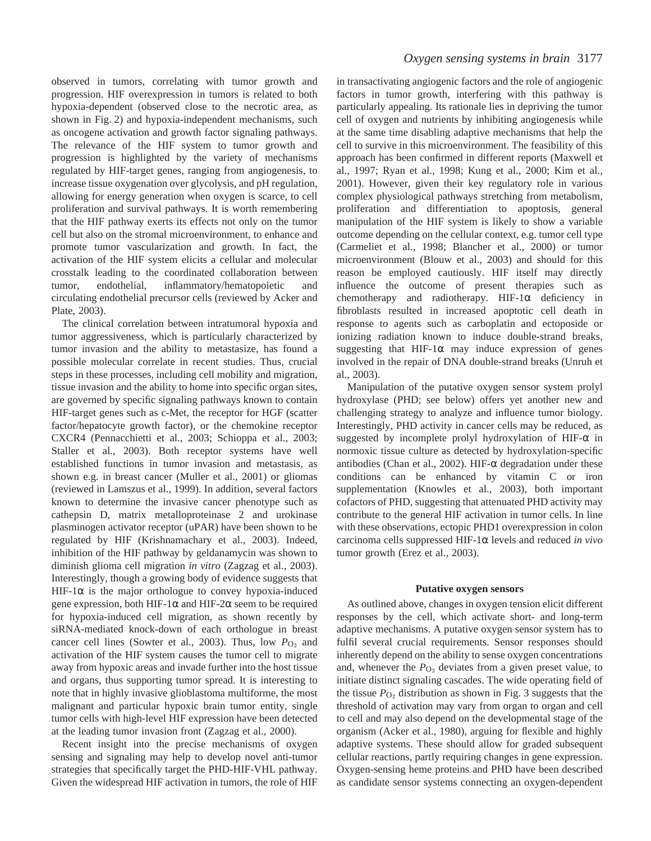observed in tumors, correlating with tumor growth and progression. HIF overexpression in tumors is related to both hypoxia-dependent (observed close to the necrotic area, as shown in Fig. 2) and hypoxia-independent mechanisms, such as oncogene activation and growth factor signaling pathways. The relevance of the HIF system to tumor growth and progression is highlighted by the variety of mechanisms regulated by HIF-target genes, ranging from angiogenesis, to increase tissue oxygenation over glycolysis, and pH regulation, allowing for energy generation when oxygen is scarce, to cell proliferation and survival pathways. It is worth remembering that the HIF pathway exerts its effects not only on the tumor cell but also on the stromal microenvironment, to enhance and promote tumor vascularization and growth. In fact, the activation of the HIF system elicits a cellular and molecular crosstalk leading to the coordinated collaboration between tumor, endothelial, inflammatory/hematopoietic and circulating endothelial precursor cells (reviewed by Acker and Plate, 2003).

The clinical correlation between intratumoral hypoxia and tumor aggressiveness, which is particularly characterized by tumor invasion and the ability to metastasize, has found a possible molecular correlate in recent studies. Thus, crucial steps in these processes, including cell mobility and migration, tissue invasion and the ability to home into specific organ sites, are governed by specific signaling pathways known to contain HIF-target genes such as c-Met, the receptor for HGF (scatter factor/hepatocyte growth factor), or the chemokine receptor CXCR4 (Pennacchietti et al., 2003; Schioppa et al., 2003; Staller et al., 2003). Both receptor systems have well established functions in tumor invasion and metastasis, as shown e.g. in breast cancer (Muller et al., 2001) or gliomas (reviewed in Lamszus et al., 1999). In addition, several factors known to determine the invasive cancer phenotype such as cathepsin D, matrix metalloproteinase 2 and urokinase plasminogen activator receptor (uPAR) have been shown to be regulated by HIF (Krishnamachary et al., 2003). Indeed, inhibition of the HIF pathway by geldanamycin was shown to diminish glioma cell migration *in vitro* (Zagzag et al., 2003). Interestingly, though a growing body of evidence suggests that HIF-1 $\alpha$  is the major orthologue to convey hypoxia-induced gene expression, both HIF-1 $\alpha$  and HIF-2 $\alpha$  seem to be required for hypoxia-induced cell migration, as shown recently by siRNA-mediated knock-down of each orthologue in breast cancer cell lines (Sowter et al., 2003). Thus, low  $P_{O_2}$  and activation of the HIF system causes the tumor cell to migrate away from hypoxic areas and invade further into the host tissue and organs, thus supporting tumor spread. It is interesting to note that in highly invasive glioblastoma multiforme, the most malignant and particular hypoxic brain tumor entity, single tumor cells with high-level HIF expression have been detected at the leading tumor invasion front (Zagzag et al., 2000).

Recent insight into the precise mechanisms of oxygen sensing and signaling may help to develop novel anti-tumor strategies that specifically target the PHD-HIF-VHL pathway. Given the widespread HIF activation in tumors, the role of HIF in transactivating angiogenic factors and the role of angiogenic factors in tumor growth, interfering with this pathway is particularly appealing. Its rationale lies in depriving the tumor cell of oxygen and nutrients by inhibiting angiogenesis while at the same time disabling adaptive mechanisms that help the cell to survive in this microenvironment. The feasibility of this approach has been confirmed in different reports (Maxwell et al., 1997; Ryan et al., 1998; Kung et al., 2000; Kim et al., 2001). However, given their key regulatory role in various complex physiological pathways stretching from metabolism, proliferation and differentiation to apoptosis, general manipulation of the HIF system is likely to show a variable outcome depending on the cellular context, e.g. tumor cell type (Carmeliet et al., 1998; Blancher et al., 2000) or tumor microenvironment (Blouw et al., 2003) and should for this reason be employed cautiously. HIF itself may directly influence the outcome of present therapies such as chemotherapy and radiotherapy. HIF-1α deficiency in fibroblasts resulted in increased apoptotic cell death in response to agents such as carboplatin and ectoposide or ionizing radiation known to induce double-strand breaks, suggesting that HIF-1 $\alpha$  may induce expression of genes involved in the repair of DNA double-strand breaks (Unruh et al., 2003).

Manipulation of the putative oxygen sensor system prolyl hydroxylase (PHD; see below) offers yet another new and challenging strategy to analyze and influence tumor biology. Interestingly, PHD activity in cancer cells may be reduced, as suggested by incomplete prolyl hydroxylation of HIF- $\alpha$  in normoxic tissue culture as detected by hydroxylation-specific antibodies (Chan et al., 2002). HIF- $\alpha$  degradation under these conditions can be enhanced by vitamin C or iron supplementation (Knowles et al., 2003), both important cofactors of PHD, suggesting that attenuated PHD activity may contribute to the general HIF activation in tumor cells. In line with these observations, ectopic PHD1 overexpression in colon carcinoma cells suppressed HIF-1α levels and reduced *in vivo* tumor growth (Erez et al., 2003).

### **Putative oxygen sensors**

As outlined above, changes in oxygen tension elicit different responses by the cell, which activate short- and long-term adaptive mechanisms. A putative oxygen sensor system has to fulfil several crucial requirements. Sensor responses should inherently depend on the ability to sense oxygen concentrations and, whenever the  $P_{\text{O}_2}$  deviates from a given preset value, to initiate distinct signaling cascades. The wide operating field of the tissue  $P_{\text{O}_2}$  distribution as shown in Fig. 3 suggests that the threshold of activation may vary from organ to organ and cell to cell and may also depend on the developmental stage of the organism (Acker et al., 1980), arguing for flexible and highly adaptive systems. These should allow for graded subsequent cellular reactions, partly requiring changes in gene expression. Oxygen-sensing heme proteins and PHD have been described as candidate sensor systems connecting an oxygen-dependent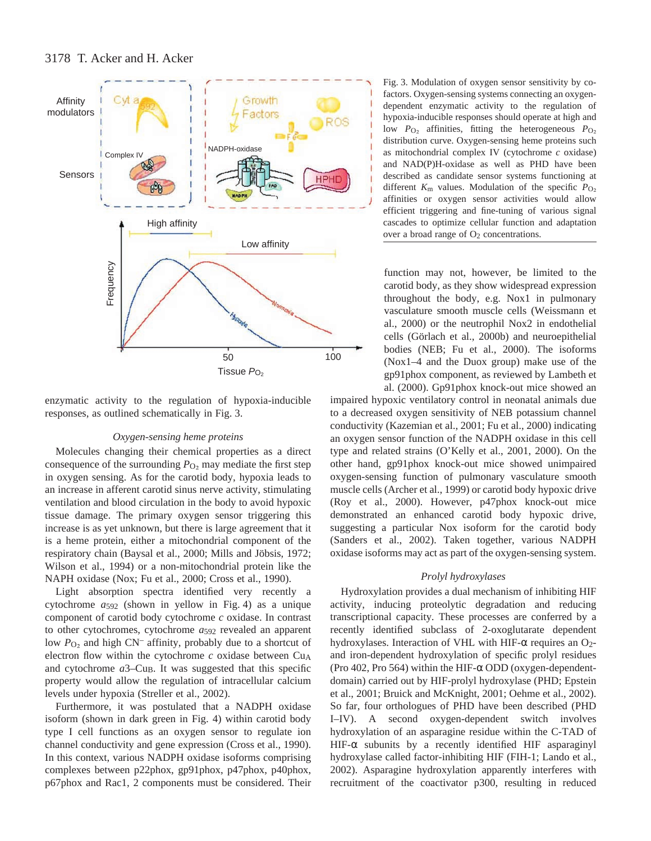

enzymatic activity to the regulation of hypoxia-inducible responses, as outlined schematically in Fig. 3.

### *Oxygen-sensing heme proteins*

Molecules changing their chemical properties as a direct consequence of the surrounding  $P<sub>O</sub>$ , may mediate the first step in oxygen sensing. As for the carotid body, hypoxia leads to an increase in afferent carotid sinus nerve activity, stimulating ventilation and blood circulation in the body to avoid hypoxic tissue damage. The primary oxygen sensor triggering this increase is as yet unknown, but there is large agreement that it is a heme protein, either a mitochondrial component of the respiratory chain (Baysal et al., 2000; Mills and Jöbsis, 1972; Wilson et al., 1994) or a non-mitochondrial protein like the NAPH oxidase (Nox; Fu et al., 2000; Cross et al., 1990).

Light absorption spectra identified very recently a cytochrome  $a_{592}$  (shown in yellow in Fig. 4) as a unique component of carotid body cytochrome *c* oxidase. In contrast to other cytochromes, cytochrome *a*592 revealed an apparent low *P*<sub>O2</sub> and high CN<sup>−</sup> affinity, probably due to a shortcut of electron flow within the cytochrome *c* oxidase between CuA and cytochrome  $a3$ –Cu<sub>B</sub>. It was suggested that this specific property would allow the regulation of intracellular calcium levels under hypoxia (Streller et al., 2002).

Furthermore, it was postulated that a NADPH oxidase isoform (shown in dark green in Fig. 4) within carotid body type I cell functions as an oxygen sensor to regulate ion channel conductivity and gene expression (Cross et al., 1990). In this context, various NADPH oxidase isoforms comprising complexes between p22phox, gp91phox, p47phox, p40phox, p67phox and Rac1, 2 components must be considered. Their Fig. 3. Modulation of oxygen sensor sensitivity by cofactors. Oxygen-sensing systems connecting an oxygendependent enzymatic activity to the regulation of hypoxia-inducible responses should operate at high and low  $P_{\text{O}_2}$  affinities, fitting the heterogeneous  $P_{\text{O}_2}$ distribution curve. Oxygen-sensing heme proteins such as mitochondrial complex IV (cytochrome *c* oxidase) and NAD(P)H-oxidase as well as PHD have been described as candidate sensor systems functioning at different  $K_m$  values. Modulation of the specific  $P_{\text{O}_2}$ affinities or oxygen sensor activities would allow efficient triggering and fine-tuning of various signal cascades to optimize cellular function and adaptation over a broad range of  $O<sub>2</sub>$  concentrations.

function may not, however, be limited to the carotid body, as they show widespread expression throughout the body, e.g. Nox1 in pulmonary vasculature smooth muscle cells (Weissmann et al., 2000) or the neutrophil Nox2 in endothelial cells (Görlach et al., 2000b) and neuroepithelial bodies (NEB; Fu et al., 2000). The isoforms (Nox1–4 and the Duox group) make use of the gp91phox component, as reviewed by Lambeth et al. (2000). Gp91phox knock-out mice showed an

impaired hypoxic ventilatory control in neonatal animals due to a decreased oxygen sensitivity of NEB potassium channel conductivity (Kazemian et al., 2001; Fu et al., 2000) indicating an oxygen sensor function of the NADPH oxidase in this cell type and related strains (O'Kelly et al., 2001, 2000). On the other hand, gp91phox knock-out mice showed unimpaired oxygen-sensing function of pulmonary vasculature smooth muscle cells (Archer et al., 1999) or carotid body hypoxic drive (Roy et al., 2000). However, p47phox knock-out mice demonstrated an enhanced carotid body hypoxic drive, suggesting a particular Nox isoform for the carotid body (Sanders et al., 2002). Taken together, various NADPH oxidase isoforms may act as part of the oxygen-sensing system.

#### *Prolyl hydroxylases*

Hydroxylation provides a dual mechanism of inhibiting HIF activity, inducing proteolytic degradation and reducing transcriptional capacity. These processes are conferred by a recently identified subclass of 2-oxoglutarate dependent hydroxylases. Interaction of VHL with HIF- $\alpha$  requires an O<sub>2</sub>and iron-dependent hydroxylation of specific prolyl residues (Pro 402, Pro 564) within the HIF-α ODD (oxygen-dependentdomain) carried out by HIF-prolyl hydroxylase (PHD; Epstein et al., 2001; Bruick and McKnight, 2001; Oehme et al., 2002). So far, four orthologues of PHD have been described (PHD I–IV). A second oxygen-dependent switch involves hydroxylation of an asparagine residue within the C-TAD of HIF- $\alpha$  subunits by a recently identified HIF asparaginyl hydroxylase called factor-inhibiting HIF (FIH-1; Lando et al., 2002). Asparagine hydroxylation apparently interferes with recruitment of the coactivator p300, resulting in reduced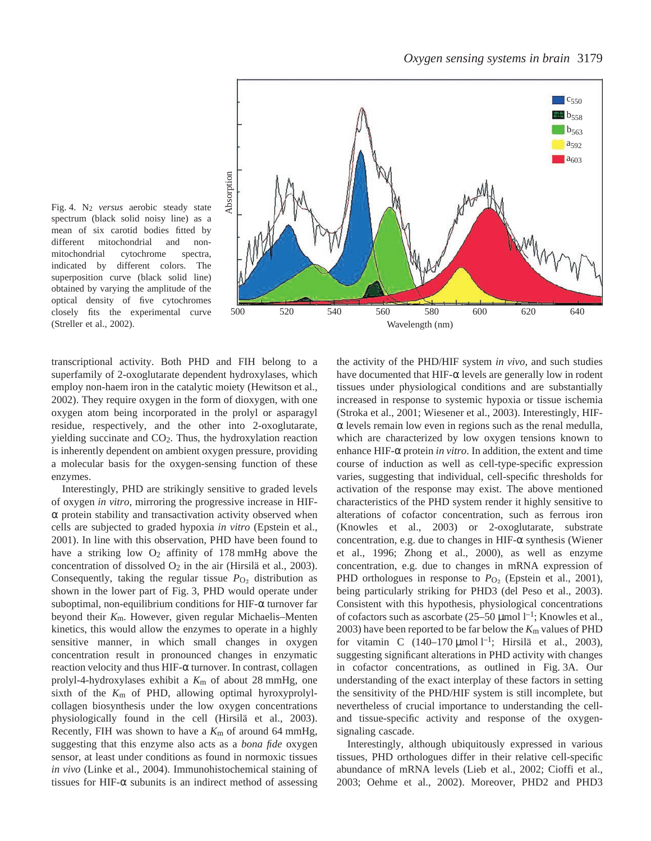Fig. 4. N<sub>2</sub> *versus* aerobic steady state spectrum (black solid noisy line) as a mean of six carotid bodies fitted by different mitochondrial and nonmitochondrial cytochrome spectra, indicated by different colors. The superposition curve (black solid line) obtained by varying the amplitude of the optical density of five cytochromes closely fits the experimental curve (Streller et al., 2002).



transcriptional activity. Both PHD and FIH belong to a superfamily of 2-oxoglutarate dependent hydroxylases, which employ non-haem iron in the catalytic moiety (Hewitson et al., 2002). They require oxygen in the form of dioxygen, with one oxygen atom being incorporated in the prolyl or asparagyl residue, respectively, and the other into 2-oxoglutarate, yielding succinate and CO2. Thus, the hydroxylation reaction is inherently dependent on ambient oxygen pressure, providing a molecular basis for the oxygen-sensing function of these enzymes.

Interestingly, PHD are strikingly sensitive to graded levels of oxygen *in vitro*, mirroring the progressive increase in HIF- $\alpha$  protein stability and transactivation activity observed when cells are subjected to graded hypoxia *in vitro* (Epstein et al., 2001). In line with this observation, PHD have been found to have a striking low  $O_2$  affinity of 178 mmHg above the concentration of dissolved  $O_2$  in the air (Hirsilä et al., 2003). Consequently, taking the regular tissue  $P_{\text{O}_2}$  distribution as shown in the lower part of Fig. 3, PHD would operate under suboptimal, non-equilibrium conditions for  $HIF-\alpha$  turnover far beyond their *K*m. However, given regular Michaelis–Menten kinetics, this would allow the enzymes to operate in a highly sensitive manner, in which small changes in oxygen concentration result in pronounced changes in enzymatic reaction velocity and thus HIF-α turnover. In contrast, collagen prolyl-4-hydroxylases exhibit a *K*m of about 28·mmHg, one sixth of the *K*m of PHD, allowing optimal hyroxyprolylcollagen biosynthesis under the low oxygen concentrations physiologically found in the cell (Hirsilä et al., 2003). Recently, FIH was shown to have a  $K<sub>m</sub>$  of around 64 mmHg, suggesting that this enzyme also acts as a *bona fide* oxygen sensor, at least under conditions as found in normoxic tissues *in vivo* (Linke et al., 2004). Immunohistochemical staining of tissues for HIF- $\alpha$  subunits is an indirect method of assessing the activity of the PHD/HIF system *in vivo*, and such studies have documented that HIF- $\alpha$  levels are generally low in rodent tissues under physiological conditions and are substantially increased in response to systemic hypoxia or tissue ischemia (Stroka et al., 2001; Wiesener et al., 2003). Interestingly, HIF- $\alpha$  levels remain low even in regions such as the renal medulla, which are characterized by low oxygen tensions known to enhance HIF-α protein *in vitro*. In addition, the extent and time course of induction as well as cell-type-specific expression varies, suggesting that individual, cell-specific thresholds for activation of the response may exist. The above mentioned characteristics of the PHD system render it highly sensitive to alterations of cofactor concentration, such as ferrous iron (Knowles et al., 2003) or 2-oxoglutarate, substrate concentration, e.g. due to changes in  $HIF-\alpha$  synthesis (Wiener et al., 1996; Zhong et al., 2000), as well as enzyme concentration, e.g. due to changes in mRNA expression of PHD orthologues in response to  $P_{\text{O}_2}$  (Epstein et al., 2001), being particularly striking for PHD3 (del Peso et al., 2003). Consistent with this hypothesis, physiological concentrations of cofactors such as ascorbate  $(25-50 \,\mu\text{mol}\,l^{-1})$ ; Knowles et al., 2003) have been reported to be far below the  $K<sub>m</sub>$  values of PHD for vitamin C  $(140-170 \,\mu\text{mol})^{-1}$ ; Hirsilä et al., 2003), suggesting significant alterations in PHD activity with changes in cofactor concentrations, as outlined in Fig. 3A. Our understanding of the exact interplay of these factors in setting the sensitivity of the PHD/HIF system is still incomplete, but nevertheless of crucial importance to understanding the celland tissue-specific activity and response of the oxygensignaling cascade.

Interestingly, although ubiquitously expressed in various tissues, PHD orthologues differ in their relative cell-specific abundance of mRNA levels (Lieb et al., 2002; Cioffi et al., 2003; Oehme et al., 2002). Moreover, PHD2 and PHD3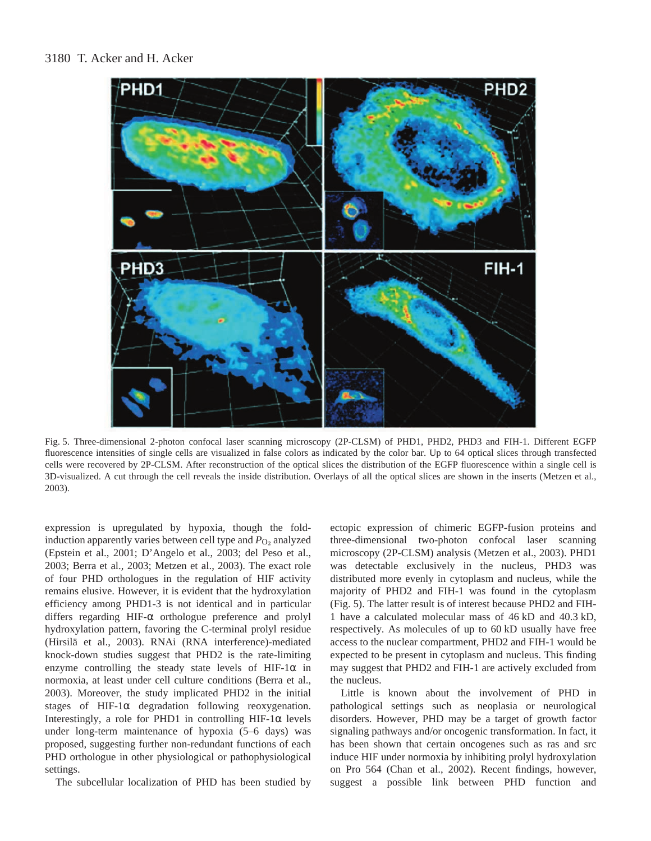

Fig. 5. Three-dimensional 2-photon confocal laser scanning microscopy (2P-CLSM) of PHD1, PHD2, PHD3 and FIH-1. Different EGFP fluorescence intensities of single cells are visualized in false colors as indicated by the color bar. Up to 64 optical slices through transfected cells were recovered by 2P-CLSM. After reconstruction of the optical slices the distribution of the EGFP fluorescence within a single cell is 3D-visualized. A cut through the cell reveals the inside distribution. Overlays of all the optical slices are shown in the inserts (Metzen et al., 2003).

expression is upregulated by hypoxia, though the foldinduction apparently varies between cell type and  $P_{\text{O}_2}$  analyzed (Epstein et al., 2001; D'Angelo et al., 2003; del Peso et al., 2003; Berra et al., 2003; Metzen et al., 2003). The exact role of four PHD orthologues in the regulation of HIF activity remains elusive. However, it is evident that the hydroxylation efficiency among PHD1-3 is not identical and in particular differs regarding HIF-α orthologue preference and prolyl hydroxylation pattern, favoring the C-terminal prolyl residue (Hirsilä et al., 2003). RNAi (RNA interference)-mediated knock-down studies suggest that PHD2 is the rate-limiting enzyme controlling the steady state levels of HIF-1 $\alpha$  in normoxia, at least under cell culture conditions (Berra et al., 2003). Moreover, the study implicated PHD2 in the initial stages of HIF-1α degradation following reoxygenation. Interestingly, a role for PHD1 in controlling HIF-1 $\alpha$  levels under long-term maintenance of hypoxia (5–6 days) was proposed, suggesting further non-redundant functions of each PHD orthologue in other physiological or pathophysiological settings.

The subcellular localization of PHD has been studied by

ectopic expression of chimeric EGFP-fusion proteins and three-dimensional two-photon confocal laser scanning microscopy (2P-CLSM) analysis (Metzen et al., 2003). PHD1 was detectable exclusively in the nucleus, PHD3 was distributed more evenly in cytoplasm and nucleus, while the majority of PHD2 and FIH-1 was found in the cytoplasm (Fig. 5). The latter result is of interest because PHD2 and FIH-1 have a calculated molecular mass of 46·kD and 40.3·kD, respectively. As molecules of up to 60 kD usually have free access to the nuclear compartment, PHD2 and FIH-1 would be expected to be present in cytoplasm and nucleus. This finding may suggest that PHD2 and FIH-1 are actively excluded from the nucleus.

Little is known about the involvement of PHD in pathological settings such as neoplasia or neurological disorders. However, PHD may be a target of growth factor signaling pathways and/or oncogenic transformation. In fact, it has been shown that certain oncogenes such as ras and src induce HIF under normoxia by inhibiting prolyl hydroxylation on Pro 564 (Chan et al., 2002). Recent findings, however, suggest a possible link between PHD function and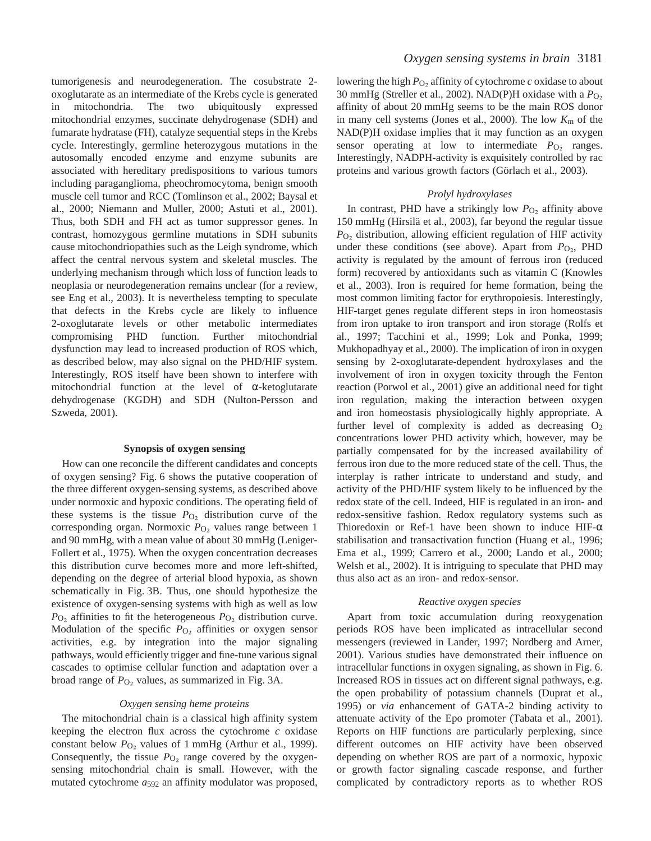tumorigenesis and neurodegeneration. The cosubstrate 2 oxoglutarate as an intermediate of the Krebs cycle is generated in mitochondria. The two ubiquitously expressed mitochondrial enzymes, succinate dehydrogenase (SDH) and fumarate hydratase (FH), catalyze sequential steps in the Krebs cycle. Interestingly, germline heterozygous mutations in the autosomally encoded enzyme and enzyme subunits are associated with hereditary predispositions to various tumors including paraganglioma, pheochromocytoma, benign smooth muscle cell tumor and RCC (Tomlinson et al., 2002; Baysal et al., 2000; Niemann and Muller, 2000; Astuti et al., 2001). Thus, both SDH and FH act as tumor suppressor genes. In contrast, homozygous germline mutations in SDH subunits cause mitochondriopathies such as the Leigh syndrome, which affect the central nervous system and skeletal muscles. The underlying mechanism through which loss of function leads to neoplasia or neurodegeneration remains unclear (for a review, see Eng et al., 2003). It is nevertheless tempting to speculate that defects in the Krebs cycle are likely to influence 2-oxoglutarate levels or other metabolic intermediates compromising PHD function. Further mitochondrial dysfunction may lead to increased production of ROS which, as described below, may also signal on the PHD/HIF system. Interestingly, ROS itself have been shown to interfere with mitochondrial function at the level of α-ketoglutarate dehydrogenase (KGDH) and SDH (Nulton-Persson and Szweda, 2001).

#### **Synopsis of oxygen sensing**

How can one reconcile the different candidates and concepts of oxygen sensing? Fig. 6 shows the putative cooperation of the three different oxygen-sensing systems, as described above under normoxic and hypoxic conditions. The operating field of these systems is the tissue  $P_{\text{O}_2}$  distribution curve of the corresponding organ. Normoxic *P*<sub>O2</sub> values range between 1 and 90 mmHg, with a mean value of about 30 mmHg (Leniger-Follert et al., 1975). When the oxygen concentration decreases this distribution curve becomes more and more left-shifted, depending on the degree of arterial blood hypoxia, as shown schematically in Fig. 3B. Thus, one should hypothesize the existence of oxygen-sensing systems with high as well as low  $P_{\text{O}_2}$  affinities to fit the heterogeneous  $P_{\text{O}_2}$  distribution curve. Modulation of the specific *P*<sub>O2</sub> affinities or oxygen sensor activities, e.g. by integration into the major signaling pathways, would efficiently trigger and fine-tune various signal cascades to optimise cellular function and adaptation over a broad range of  $P_{\text{O}_2}$  values, as summarized in Fig. 3A.

### *Oxygen sensing heme proteins*

The mitochondrial chain is a classical high affinity system keeping the electron flux across the cytochrome *c* oxidase constant below  $P_{\text{O}_2}$  values of 1 mmHg (Arthur et al., 1999). Consequently, the tissue  $P<sub>O<sub>2</sub></sub>$  range covered by the oxygensensing mitochondrial chain is small. However, with the mutated cytochrome *a*592 an affinity modulator was proposed, lowering the high  $P_{\text{O}_2}$  affinity of cytochrome *c* oxidase to about 30 mmHg (Streller et al., 2002). NAD(P)H oxidase with a *P*<sub>O</sub> affinity of about 20 mmHg seems to be the main ROS donor in many cell systems (Jones et al., 2000). The low *K*m of the NAD(P)H oxidase implies that it may function as an oxygen sensor operating at low to intermediate  $P_{\text{O}_2}$  ranges. Interestingly, NADPH-activity is exquisitely controlled by rac proteins and various growth factors (Görlach et al., 2003).

## *Prolyl hydroxylases*

In contrast, PHD have a strikingly low  $P_{O<sub>2</sub>}$  affinity above 150 mmHg (Hirsilä et al., 2003), far beyond the regular tissue  $P_{\text{O}_2}$  distribution, allowing efficient regulation of HIF activity under these conditions (see above). Apart from  $P_{\text{O}_2}$ , PHD activity is regulated by the amount of ferrous iron (reduced form) recovered by antioxidants such as vitamin C (Knowles et al., 2003). Iron is required for heme formation, being the most common limiting factor for erythropoiesis. Interestingly, HIF-target genes regulate different steps in iron homeostasis from iron uptake to iron transport and iron storage (Rolfs et al., 1997; Tacchini et al., 1999; Lok and Ponka, 1999; Mukhopadhyay et al., 2000). The implication of iron in oxygen sensing by 2-oxoglutarate-dependent hydroxylases and the involvement of iron in oxygen toxicity through the Fenton reaction (Porwol et al., 2001) give an additional need for tight iron regulation, making the interaction between oxygen and iron homeostasis physiologically highly appropriate. A further level of complexity is added as decreasing  $O<sub>2</sub>$ concentrations lower PHD activity which, however, may be partially compensated for by the increased availability of ferrous iron due to the more reduced state of the cell. Thus, the interplay is rather intricate to understand and study, and activity of the PHD/HIF system likely to be influenced by the redox state of the cell. Indeed, HIF is regulated in an iron- and redox-sensitive fashion. Redox regulatory systems such as Thioredoxin or Ref-1 have been shown to induce HIF- $\alpha$ stabilisation and transactivation function (Huang et al., 1996; Ema et al., 1999; Carrero et al., 2000; Lando et al., 2000; Welsh et al., 2002). It is intriguing to speculate that PHD may thus also act as an iron- and redox-sensor.

### *Reactive oxygen species*

Apart from toxic accumulation during reoxygenation periods ROS have been implicated as intracellular second messengers (reviewed in Lander, 1997; Nordberg and Arner, 2001). Various studies have demonstrated their influence on intracellular functions in oxygen signaling, as shown in Fig. 6. Increased ROS in tissues act on different signal pathways, e.g. the open probability of potassium channels (Duprat et al., 1995) or *via* enhancement of GATA-2 binding activity to attenuate activity of the Epo promoter (Tabata et al., 2001). Reports on HIF functions are particularly perplexing, since different outcomes on HIF activity have been observed depending on whether ROS are part of a normoxic, hypoxic or growth factor signaling cascade response, and further complicated by contradictory reports as to whether ROS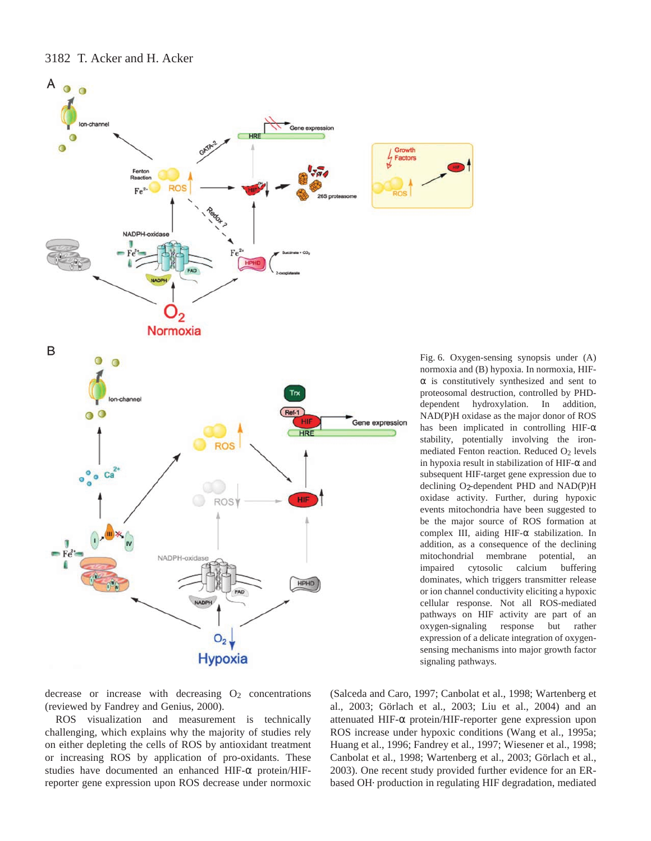3182 T. Acker and H. Acker



Fig. 6. Oxygen-sensing synopsis under (A) normoxia and (B) hypoxia. In normoxia, HIFα is constitutively synthesized and sent to proteosomal destruction, controlled by PHDdependent hydroxylation. In addition, NAD(P)H oxidase as the major donor of ROS has been implicated in controlling HIF- $\alpha$ stability, potentially involving the ironmediated Fenton reaction. Reduced O2 levels in hypoxia result in stabilization of HIF-α and subsequent HIF-target gene expression due to declining O2-dependent PHD and NAD(P)H oxidase activity. Further, during hypoxic events mitochondria have been suggested to be the major source of ROS formation at complex III, aiding HIF-α stabilization. In addition, as a consequence of the declining mitochondrial membrane potential, an impaired cytosolic calcium buffering dominates, which triggers transmitter release or ion channel conductivity eliciting a hypoxic cellular response. Not all ROS-mediated pathways on HIF activity are part of an oxygen-signaling response but rather expression of a delicate integration of oxygensensing mechanisms into major growth factor signaling pathways.

decrease or increase with decreasing  $O_2$  concentrations (reviewed by Fandrey and Genius, 2000).

ROS visualization and measurement is technically challenging, which explains why the majority of studies rely on either depleting the cells of ROS by antioxidant treatment or increasing ROS by application of pro-oxidants. These studies have documented an enhanced HIF-α protein/HIFreporter gene expression upon ROS decrease under normoxic (Salceda and Caro, 1997; Canbolat et al., 1998; Wartenberg et al., 2003; Görlach et al., 2003; Liu et al., 2004) and an attenuated HIF-α protein/HIF-reporter gene expression upon ROS increase under hypoxic conditions (Wang et al., 1995a; Huang et al., 1996; Fandrey et al., 1997; Wiesener et al., 1998; Canbolat et al., 1998; Wartenberg et al., 2003; Görlach et al., 2003). One recent study provided further evidence for an ERbased OH**.** production in regulating HIF degradation, mediated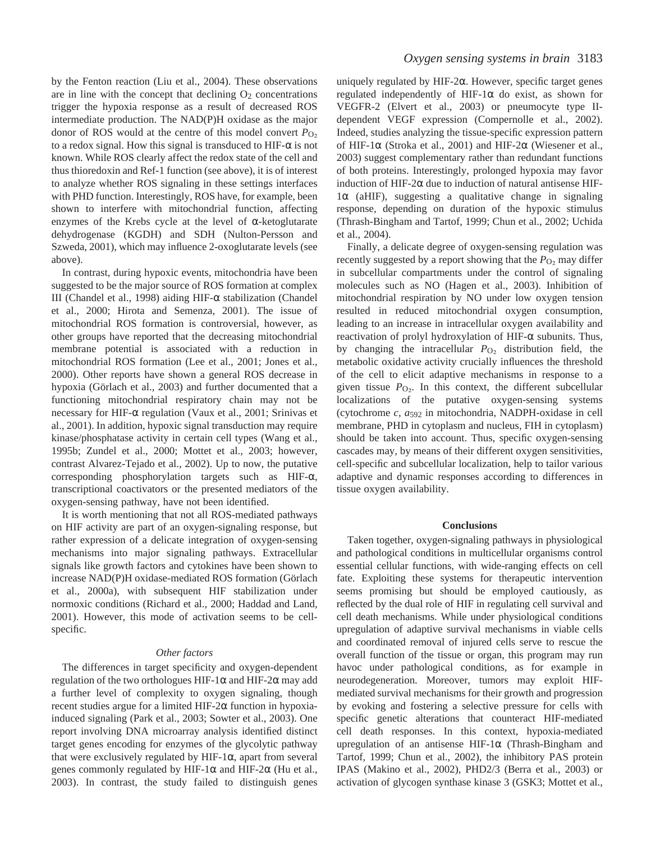by the Fenton reaction (Liu et al., 2004). These observations are in line with the concept that declining  $O_2$  concentrations trigger the hypoxia response as a result of decreased ROS intermediate production. The NAD(P)H oxidase as the major donor of ROS would at the centre of this model convert  $P_{\text{O}_2}$ to a redox signal. How this signal is transduced to HIF- $\alpha$  is not known. While ROS clearly affect the redox state of the cell and thus thioredoxin and Ref-1 function (see above), it is of interest to analyze whether ROS signaling in these settings interfaces with PHD function. Interestingly, ROS have, for example, been shown to interfere with mitochondrial function, affecting enzymes of the Krebs cycle at the level of  $\alpha$ -ketoglutarate dehydrogenase (KGDH) and SDH (Nulton-Persson and Szweda, 2001), which may influence 2-oxoglutarate levels (see above).

In contrast, during hypoxic events, mitochondria have been suggested to be the major source of ROS formation at complex III (Chandel et al., 1998) aiding HIF-α stabilization (Chandel et al., 2000; Hirota and Semenza, 2001). The issue of mitochondrial ROS formation is controversial, however, as other groups have reported that the decreasing mitochondrial membrane potential is associated with a reduction in mitochondrial ROS formation (Lee et al., 2001; Jones et al., 2000). Other reports have shown a general ROS decrease in hypoxia (Görlach et al., 2003) and further documented that a functioning mitochondrial respiratory chain may not be necessary for HIF-α regulation (Vaux et al., 2001; Srinivas et al., 2001). In addition, hypoxic signal transduction may require kinase/phosphatase activity in certain cell types (Wang et al., 1995b; Zundel et al., 2000; Mottet et al., 2003; however, contrast Alvarez-Tejado et al., 2002). Up to now, the putative corresponding phosphorylation targets such as HIF-α, transcriptional coactivators or the presented mediators of the oxygen-sensing pathway, have not been identified.

It is worth mentioning that not all ROS-mediated pathways on HIF activity are part of an oxygen-signaling response, but rather expression of a delicate integration of oxygen-sensing mechanisms into major signaling pathways. Extracellular signals like growth factors and cytokines have been shown to increase NAD(P)H oxidase-mediated ROS formation (Görlach et al., 2000a), with subsequent HIF stabilization under normoxic conditions (Richard et al., 2000; Haddad and Land, 2001). However, this mode of activation seems to be cellspecific.

### *Other factors*

The differences in target specificity and oxygen-dependent regulation of the two orthologues HIF-1α and HIF-2α may add a further level of complexity to oxygen signaling, though recent studies argue for a limited HIF- $2\alpha$  function in hypoxiainduced signaling (Park et al., 2003; Sowter et al., 2003). One report involving DNA microarray analysis identified distinct target genes encoding for enzymes of the glycolytic pathway that were exclusively regulated by HIF-1α, apart from several genes commonly regulated by HIF-1 $\alpha$  and HIF-2 $\alpha$  (Hu et al., 2003). In contrast, the study failed to distinguish genes

uniquely regulated by HIF-2 $\alpha$ . However, specific target genes regulated independently of HIF-1 $\alpha$  do exist, as shown for VEGFR-2 (Elvert et al., 2003) or pneumocyte type IIdependent VEGF expression (Compernolle et al., 2002). Indeed, studies analyzing the tissue-specific expression pattern of HIF-1α (Stroka et al., 2001) and HIF-2α (Wiesener et al., 2003) suggest complementary rather than redundant functions of both proteins. Interestingly, prolonged hypoxia may favor induction of HIF-2 $\alpha$  due to induction of natural antisense HIF-1α (aHIF), suggesting a qualitative change in signaling response, depending on duration of the hypoxic stimulus (Thrash-Bingham and Tartof, 1999; Chun et al., 2002; Uchida et al., 2004).

Finally, a delicate degree of oxygen-sensing regulation was recently suggested by a report showing that the  $P_{\text{O}_2}$  may differ in subcellular compartments under the control of signaling molecules such as NO (Hagen et al., 2003). Inhibition of mitochondrial respiration by NO under low oxygen tension resulted in reduced mitochondrial oxygen consumption, leading to an increase in intracellular oxygen availability and reactivation of prolyl hydroxylation of HIF-α subunits. Thus, by changing the intracellular *P*<sub>O2</sub> distribution field, the metabolic oxidative activity crucially influences the threshold of the cell to elicit adaptive mechanisms in response to a given tissue  $P_{\text{O}_2}$ . In this context, the different subcellular localizations of the putative oxygen-sensing systems (cytochrome *c*, *a*592 in mitochondria, NADPH-oxidase in cell membrane, PHD in cytoplasm and nucleus, FIH in cytoplasm) should be taken into account. Thus, specific oxygen-sensing cascades may, by means of their different oxygen sensitivities, cell-specific and subcellular localization, help to tailor various adaptive and dynamic responses according to differences in tissue oxygen availability.

#### **Conclusions**

Taken together, oxygen-signaling pathways in physiological and pathological conditions in multicellular organisms control essential cellular functions, with wide-ranging effects on cell fate. Exploiting these systems for therapeutic intervention seems promising but should be employed cautiously, as reflected by the dual role of HIF in regulating cell survival and cell death mechanisms. While under physiological conditions upregulation of adaptive survival mechanisms in viable cells and coordinated removal of injured cells serve to rescue the overall function of the tissue or organ, this program may run havoc under pathological conditions, as for example in neurodegeneration. Moreover, tumors may exploit HIFmediated survival mechanisms for their growth and progression by evoking and fostering a selective pressure for cells with specific genetic alterations that counteract HIF-mediated cell death responses. In this context, hypoxia-mediated upregulation of an antisense HIF-1 $\alpha$  (Thrash-Bingham and Tartof, 1999; Chun et al., 2002), the inhibitory PAS protein IPAS (Makino et al., 2002), PHD2/3 (Berra et al., 2003) or activation of glycogen synthase kinase 3 (GSK3; Mottet et al.,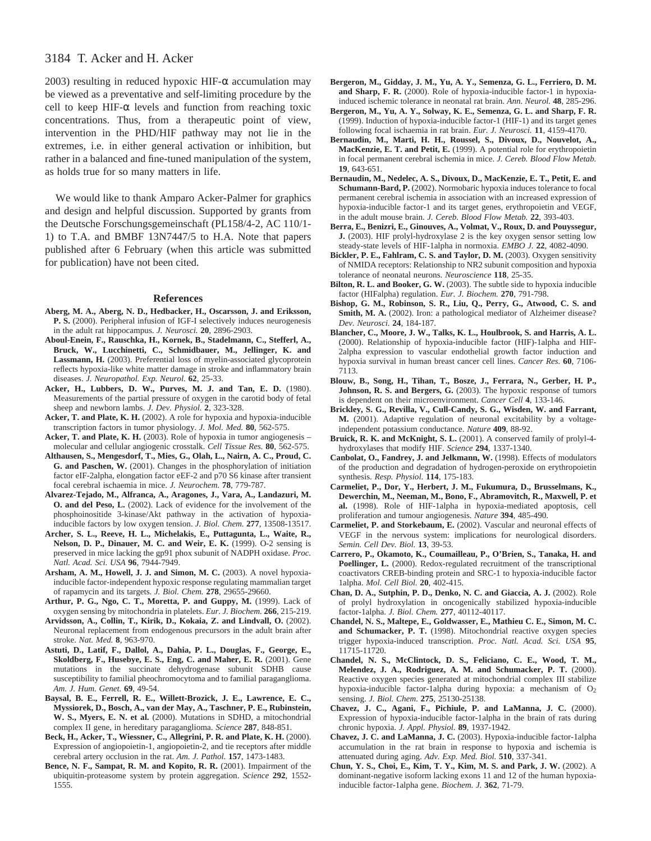2003) resulting in reduced hypoxic HIF- $\alpha$  accumulation may be viewed as a preventative and self-limiting procedure by the cell to keep  $HIF-\alpha$  levels and function from reaching toxic concentrations. Thus, from a therapeutic point of view, intervention in the PHD/HIF pathway may not lie in the extremes, i.e. in either general activation or inhibition, but rather in a balanced and fine-tuned manipulation of the system, as holds true for so many matters in life.

We would like to thank Amparo Acker-Palmer for graphics and design and helpful discussion. Supported by grants from the Deutsche Forschungsgemeinschaft (PL158/4-2, AC 110/1- 1) to T.A. and BMBF 13N7447/5 to H.A. Note that papers published after 6 February (when this article was submitted for publication) have not been cited.

#### **References**

- **Aberg, M. A., Aberg, N. D., Hedbacker, H., Oscarsson, J. and Eriksson, P. S.** (2000). Peripheral infusion of IGF-I selectively induces neurogenesis in the adult rat hippocampus. *J. Neurosci.* **20**, 2896-2903.
- **Aboul-Enein, F., Rauschka, H., Kornek, B., Stadelmann, C., Stefferl, A., Bruck, W., Lucchinetti, C., Schmidbauer, M., Jellinger, K. and Lassmann, H.** (2003). Preferential loss of myelin-associated glycoprotein reflects hypoxia-like white matter damage in stroke and inflammatory brain diseases. *J. Neuropathol. Exp. Neurol.* **62**, 25-33.
- **Acker, H., Lubbers, D. W., Purves, M. J. and Tan, E. D.** (1980). Measurements of the partial pressure of oxygen in the carotid body of fetal sheep and newborn lambs. *J. Dev. Physiol.* **2**, 323-328.
- Acker, T. and Plate, K. H. (2002). A role for hypoxia and hypoxia-inducible transcription factors in tumor physiology. *J. Mol. Med.* **80**, 562-575.
- **Acker, T. and Plate, K. H.** (2003). Role of hypoxia in tumor angiogenesis molecular and cellular angiogenic crosstalk. *Cell Tissue Res.* **80**, 562-575.
- **Althausen, S., Mengesdorf, T., Mies, G., Olah, L., Nairn, A. C., Proud, C. G. and Paschen, W.** (2001). Changes in the phosphorylation of initiation factor eIF-2alpha, elongation factor eEF-2 and p70 S6 kinase after transient focal cerebral ischaemia in mice. *J. Neurochem.* **78**, 779-787.
- **Alvarez-Tejado, M., Alfranca, A., Aragones, J., Vara, A., Landazuri, M. O. and del Peso, L.** (2002). Lack of evidence for the involvement of the phosphoinositide 3-kinase/Akt pathway in the activation of hypoxiainducible factors by low oxygen tension. *J. Biol. Chem.* **277**, 13508-13517.
- **Archer, S. L., Reeve, H. L., Michelakis, E., Puttagunta, L., Waite, R., Nelson, D. P., Dinauer, M. C. and Weir, E. K.** (1999). O-2 sensing is preserved in mice lacking the gp91 phox subunit of NADPH oxidase. *Proc. Natl. Acad. Sci. USA* **96**, 7944-7949.
- Arsham, A. M., Howell, J. J. and Simon, M. C. (2003). A novel hypoxiainducible factor-independent hypoxic response regulating mammalian target of rapamycin and its targets. *J. Biol. Chem.* **278**, 29655-29660.
- **Arthur, P. G., Ngo, C. T., Moretta, P. and Guppy, M.** (1999). Lack of oxygen sensing by mitochondria in platelets. *Eur. J. Biochem.* **266**, 215-219.
- **Arvidsson, A., Collin, T., Kirik, D., Kokaia, Z. and Lindvall, O.** (2002). Neuronal replacement from endogenous precursors in the adult brain after stroke. *Nat. Med.* **8**, 963-970.
- **Astuti, D., Latif, F., Dallol, A., Dahia, P. L., Douglas, F., George, E., Skoldberg, F., Husebye, E. S., Eng, C. and Maher, E. R.** (2001). Gene mutations in the succinate dehydrogenase subunit SDHB cause susceptibility to familial pheochromocytoma and to familial paraganglioma. *Am. J. Hum. Genet.* **69**, 49-54.
- **Baysal, B. E., Ferrell, R. E., Willett-Brozick, J. E., Lawrence, E. C., Myssiorek, D., Bosch, A., van der May, A., Taschner, P. E., Rubinstein, W. S., Myers, E. N. et al.** (2000). Mutations in SDHD, a mitochondrial complex II gene, in hereditary paraganglioma. *Science* **287**, 848-851.
- **Beck, H., Acker, T., Wiessner, C., Allegrini, P. R. and Plate, K. H.** (2000). Expression of angiopoietin-1, angiopoietin-2, and tie receptors after middle cerebral artery occlusion in the rat. *Am. J. Pathol.* **157**, 1473-1483.
- **Bence, N. F., Sampat, R. M. and Kopito, R. R.** (2001). Impairment of the ubiquitin-proteasome system by protein aggregation. *Science* **292**, 1552- 1555.
- **Bergeron, M., Gidday, J. M., Yu, A. Y., Semenza, G. L., Ferriero, D. M. and Sharp, F. R.** (2000). Role of hypoxia-inducible factor-1 in hypoxiainduced ischemic tolerance in neonatal rat brain. *Ann. Neurol.* **48**, 285-296.
- **Bergeron, M., Yu, A. Y., Solway, K. E., Semenza, G. L. and Sharp, F. R.** (1999). Induction of hypoxia-inducible factor-1 (HIF-1) and its target genes following focal ischaemia in rat brain. *Eur. J. Neurosci.* **11**, 4159-4170.
- **Bernaudin, M., Marti, H. H., Roussel, S., Divoux, D., Nouvelot, A., MacKenzie, E. T. and Petit, E.** (1999). A potential role for erythropoietin in focal permanent cerebral ischemia in mice. *J. Cereb. Blood Flow Metab.* **19**, 643-651.
- **Bernaudin, M., Nedelec, A. S., Divoux, D., MacKenzie, E. T., Petit, E. and Schumann-Bard, P.** (2002). Normobaric hypoxia induces tolerance to focal permanent cerebral ischemia in association with an increased expression of hypoxia-inducible factor-1 and its target genes, erythropoietin and VEGF, in the adult mouse brain. *J. Cereb. Blood Flow Metab.* **22**, 393-403.
- **Berra, E., Benizri, E., Ginouves, A., Volmat, V., Roux, D. and Pouyssegur, J.** (2003). HIF prolyl-hydroxylase 2 is the key oxygen sensor setting low steady-state levels of HIF-1alpha in normoxia. *EMBO J.* **22**, 4082-4090.
- Bickler, P. E., Fahlram, C. S. and Taylor, D. M. (2003). Oxygen sensitivity of NMIDA receptors: Relationship to NR2 subunit composition and hypoxia tolerance of neonatal neurons. *Neuroscience* **118**, 25-35.
- **Bilton, R. L. and Booker, G. W.** (2003). The subtle side to hypoxia inducible factor (HIFalpha) regulation. *Eur. J. Biochem.* **270**, 791-798.
- **Bishop, G. M., Robinson, S. R., Liu, Q., Perry, G., Atwood, C. S. and** Smith, M. A. (2002). Iron: a pathological mediator of Alzheimer disease? *Dev. Neurosci.* **24**, 184-187.
- **Blancher, C., Moore, J. W., Talks, K. L., Houlbrook, S. and Harris, A. L.** (2000). Relationship of hypoxia-inducible factor (HIF)-1alpha and HIF-2alpha expression to vascular endothelial growth factor induction and hypoxia survival in human breast cancer cell lines. *Cancer Res.* **60**, 7106- 7113.
- **Blouw, B., Song, H., Tihan, T., Bosze, J., Ferrara, N., Gerber, H. P., Johnson, R. S. and Bergers, G.** (2003). The hypoxic response of tumors is dependent on their microenvironment. *Cancer Cell* **4**, 133-146.
- **Brickley, S. G., Revilla, V., Cull-Candy, S. G., Wisden, W. and Farrant, M.** (2001). Adaptive regulation of neuronal excitability by a voltageindependent potassium conductance. *Nature* **409**, 88-92.
- **Bruick, R. K. and McKnight, S. L.** (2001). A conserved family of prolyl-4 hydroxylases that modify HIF. *Science* **294**, 1337-1340.
- **Canbolat, O., Fandrey, J. and Jelkmann, W.** (1998). Effects of modulators of the production and degradation of hydrogen-peroxide on erythropoietin synthesis. *Resp. Physiol.* **114**, 175-183.
- **Carmeliet, P., Dor, Y., Herbert, J. M., Fukumura, D., Brusselmans, K., Dewerchin, M., Neeman, M., Bono, F., Abramovitch, R., Maxwell, P. et al.** (1998). Role of HIF-1alpha in hypoxia-mediated apoptosis, cell proliferation and tumour angiogenesis. *Nature* **394**, 485-490.
- **Carmeliet, P. and Storkebaum, E.** (2002). Vascular and neuronal effects of VEGF in the nervous system: implications for neurological disorders. *Semin. Cell Dev. Biol.* **13**, 39-53.
- **Carrero, P., Okamoto, K., Coumailleau, P., O'Brien, S., Tanaka, H. and Poellinger, L.** (2000). Redox-regulated recruitment of the transcriptional coactivators CREB-binding protein and SRC-1 to hypoxia-inducible factor 1alpha. *Mol. Cell Biol.* **20**, 402-415.
- **Chan, D. A., Sutphin, P. D., Denko, N. C. and Giaccia, A. J.** (2002). Role of prolyl hydroxylation in oncogenically stabilized hypoxia-inducible factor-1alpha. *J. Biol. Chem.* **277**, 40112-40117.
- **Chandel, N. S., Maltepe, E., Goldwasser, E., Mathieu C. E., Simon, M. C. and Schumacker, P. T.** (1998). Mitochondrial reactive oxygen species trigger hypoxia-induced transcription. *Proc. Natl. Acad. Sci. USA* **95**, 11715-11720.
- **Chandel, N. S., McClintock, D. S., Feliciano, C. E., Wood, T. M., Melendez, J. A., Rodriguez, A. M. and Schumacker, P. T.** (2000). Reactive oxygen species generated at mitochondrial complex III stabilize hypoxia-inducible factor-1alpha during hypoxia: a mechanism of O<sub>2</sub> sensing. *J. Biol. Chem.* **275**, 25130-25138.
- **Chavez, J. C., Agani, F., Pichiule, P. and LaManna, J. C.** (2000). Expression of hypoxia-inducible factor-1alpha in the brain of rats during chronic hypoxia. *J. Appl. Physiol.* **89**, 1937-1942.
- **Chavez, J. C. and LaManna, J. C.** (2003). Hypoxia-inducible factor-1alpha accumulation in the rat brain in response to hypoxia and ischemia is attenuated during aging. *Adv. Exp. Med. Biol.* **510**, 337-341.
- **Chun, Y. S., Choi, E., Kim, T. Y., Kim, M. S. and Park, J. W.** (2002). A dominant-negative isoform lacking exons 11 and 12 of the human hypoxiainducible factor-1alpha gene. *Biochem. J.* **362**, 71-79.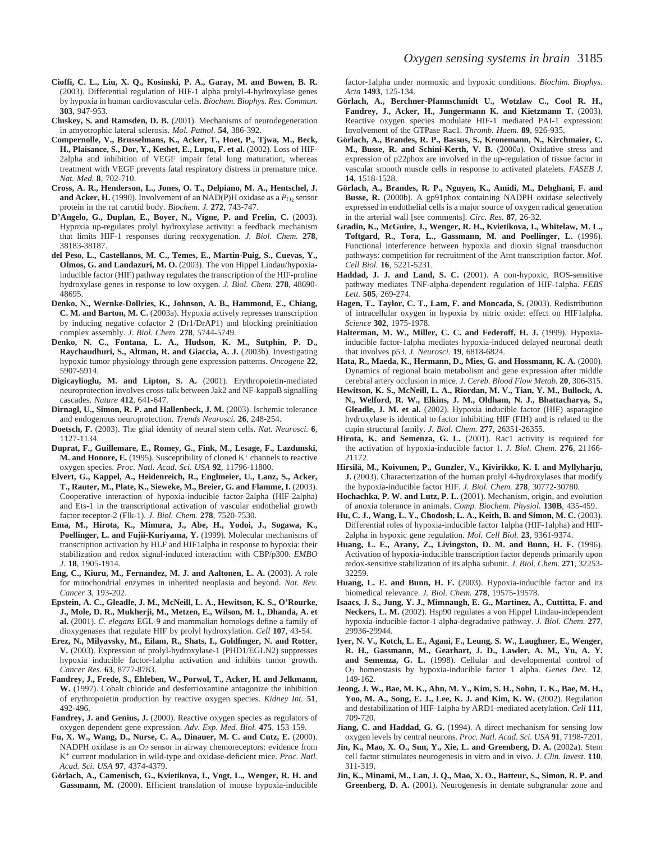- **Cioffi, C. L., Liu, X. Q., Kosinski, P. A., Garay, M. and Bowen, B. R.** (2003). Differential regulation of HIF-1 alpha prolyl-4-hydroxylase genes by hypoxia in human cardiovascular cells. *Biochem. Biophys. Res. Commun.* **303**, 947-953.
- **Cluskey, S. and Ramsden, D. B.** (2001). Mechanisms of neurodegeneration in amyotrophic lateral sclerosis. *Mol. Pathol.* **54**, 386-392.
- **Compernolle, V., Brusselmans, K., Acker, T., Hoet, P., Tjwa, M., Beck, H., Plaisance, S., Dor, Y., Keshet, E., Lupu, F. et al.** (2002). Loss of HIF-2alpha and inhibition of VEGF impair fetal lung maturation, whereas treatment with VEGF prevents fatal respiratory distress in premature mice. *Nat. Med.* **8**, 702-710.
- **Cross, A. R., Henderson, L., Jones, O. T., Delpiano, M. A., Hentschel, J. and Acker, H.** (1990). Involvement of an NAD(P)H oxidase as a  $P_{\text{O}_2}$  sensor protein in the rat carotid body. *Biochem. J.* **272**, 743-747.
- **D'Angelo, G., Duplan, E., Boyer, N., Vigne, P. and Frelin, C.** (2003). Hypoxia up-regulates prolyl hydroxylase activity: a feedback mechanism that limits HIF-1 responses during reoxygenation. *J. Biol. Chem.* **278**, 38183-38187.
- **del Peso, L., Castellanos, M. C., Temes, E., Martin-Puig, S., Cuevas, Y., Olmos, G. and Landazuri, M. O.** (2003). The von Hippel Lindau/hypoxiainducible factor (HIF) pathway regulates the transcription of the HIF-proline hydroxylase genes in response to low oxygen. *J. Biol. Chem.* **278**, 48690- 48695.
- **Denko, N., Wernke-Dollries, K., Johnson, A. B., Hammond, E., Chiang, C. M. and Barton, M. C.** (2003a). Hypoxia actively represses transcription by inducing negative cofactor 2 (Dr1/DrAP1) and blocking preinitiation complex assembly. *J. Biol. Chem.* **278**, 5744-5749.
- **Denko, N. C., Fontana, L. A., Hudson, K. M., Sutphin, P. D., Raychaudhuri, S., Altman, R. and Giaccia, A. J.** (2003b). Investigating hypoxic tumor physiology through gene expression patterns. *Oncogene* **22**, 5907-5914.
- **Digicaylioglu, M. and Lipton, S. A.** (2001). Erythropoietin-mediated neuroprotection involves cross-talk between Jak2 and NF-kappaB signalling cascades. *Nature* **412**, 641-647.
- **Dirnagl, U., Simon, R. P. and Hallenbeck, J. M.** (2003). Ischemic tolerance and endogenous neuroprotection. *Trends Neurosci.* **26**, 248-254.
- **Doetsch, F.** (2003). The glial identity of neural stem cells. *Nat. Neurosci.* **6**, 1127-1134.
- **Duprat, F., Guillemare, E., Romey, G., Fink, M., Lesage, F., Lazdunski, M. and Honore, E.** (1995). Susceptibility of cloned K<sup>+</sup> channels to reactive oxygen species. *Proc. Natl. Acad. Sci. USA* **92**, 11796-11800.
- **Elvert, G., Kappel, A., Heidenreich, R., Englmeier, U., Lanz, S., Acker, T., Rauter, M., Plate, K., Sieweke, M., Breier, G. and Flamme, I.** (2003). Cooperative interaction of hypoxia-inducible factor-2alpha (HIF-2alpha) and Ets-1 in the transcriptional activation of vascular endothelial growth factor receptor-2 (Flk-1). *J. Biol. Chem.* **278**, 7520-7530.
- **Ema, M., Hirota, K., Mimura, J., Abe, H., Yodoi, J., Sogawa, K.,** Poellinger, L. and Fujii-Kuriyama, Y. (1999). Molecular mechanisms of transcription activation by HLF and HIF1alpha in response to hypoxia: their stabilization and redox signal-induced interaction with CBP/p300. *EMBO J.* **18**, 1905-1914.
- Eng, C., Kiuru, M., Fernandez, M. J. and Aaltonen, L. A. (2003). A role for mitochondrial enzymes in inherited neoplasia and beyond. *Nat. Rev. Cancer* **3**, 193-202.
- **Epstein, A. C., Gleadle, J. M., McNeill, L. A., Hewitson, K. S., O'Rourke, J., Mole, D. R., Mukherji, M., Metzen, E., Wilson, M. I., Dhanda, A. et al.** (2001). *C. elegans* EGL-9 and mammalian homologs define a family of dioxygenases that regulate HIF by prolyl hydroxylation. *Cell* **107**, 43-54.
- **Erez, N., Milyavsky, M., Eilam, R., Shats, I., Goldfinger, N. and Rotter, V.** (2003). Expression of prolyl-hydroxylase-1 (PHD1/EGLN2) suppresses hypoxia inducible factor-1alpha activation and inhibits tumor growth. *Cancer Res.* **63**, 8777-8783.
- **Fandrey, J., Frede, S., Ehleben, W., Porwol, T., Acker, H. and Jelkmann, W.** (1997). Cobalt chloride and desferrioxamine antagonize the inhibition of erythropoietin production by reactive oxygen species. *Kidney Int.* **51**, 492-496.
- Fandrey, J. and Genius, J. (2000). Reactive oxygen species as regulators of oxygen dependent gene expression. *Adv. Exp. Med. Biol.* **475**, 153-159.
- **Fu, X. W., Wang, D., Nurse, C. A., Dinauer, M. C. and Cutz, E.** (2000). NADPH oxidase is an O2 sensor in airway chemoreceptors: evidence from K+ current modulation in wild-type and oxidase-deficient mice. *Proc. Natl. Acad. Sci. USA* **97**, 4374-4379.
- Görlach, A., Camenisch, G., Kvietikova, I., Vogt, L., Wenger, R. H. and **Gassmann, M.** (2000). Efficient translation of mouse hypoxia-inducible

factor-1alpha under normoxic and hypoxic conditions. *Biochim. Biophys. Acta* **1493**, 125-134.

- **Görlach, A., Berchner-Pfannschmidt U., Wotzlaw C., Cool R. H., Fandrey, J., Acker, H., Jungermann K. and Kietzmann T.** (2003). Reactive oxygen species modulate HIF-1 mediated PAI-1 expression: Involvement of the GTPase Rac1. *Thromb. Haem.* **89**, 926-935.
- **Görlach, A., Brandes, R. P., Bassus, S., Kronemann, N., Kirchmaier, C. M., Busse, R. and Schini-Kerth, V. B.** (2000a). Oxidative stress and expression of p22phox are involved in the up-regulation of tissue factor in vascular smooth muscle cells in response to activated platelets. *FASEB J.* **14**, 1518-1528.
- **Görlach, A., Brandes, R. P., Nguyen, K., Amidi, M., Dehghani, F. and Busse, R.** (2000b). A gp91phox containing NADPH oxidase selectively expressed in endothelial cells is a major source of oxygen radical generation in the arterial wall [see comments]. *Circ. Res.* **87**, 26-32.
- **Gradin, K., McGuire, J., Wenger, R. H., Kvietikova, I., Whitelaw, M. L., Toftgard, R., Tora, L., Gassmann, M. and Poellinger, L.** (1996). Functional interference between hypoxia and dioxin signal transduction pathways: competition for recruitment of the Arnt transcription factor. *Mol. Cell Biol.* **16**, 5221-5231.
- **Haddad, J. J. and Land, S. C.** (2001). A non-hypoxic, ROS-sensitive pathway mediates TNF-alpha-dependent regulation of HIF-1alpha. *FEBS Lett.* **505**, 269-274.
- Hagen, T., Taylor, C. T., Lam, F. and Moncada, S. (2003). Redistribution of intracellular oxygen in hypoxia by nitric oxide: effect on HIF1alpha. *Science* **302**, 1975-1978.
- Halterman, M. W., Miller, C. C. and Federoff, H. J. (1999). Hypoxiainducible factor-1alpha mediates hypoxia-induced delayed neuronal death that involves p53. *J. Neurosci.* **19**, 6818-6824.
- **Hata, R., Maeda, K., Hermann, D., Mies, G. and Hossmann, K. A.** (2000). Dynamics of regional brain metabolism and gene expression after middle cerebral artery occlusion in mice. *J. Cereb. Blood Flow Metab.* **20**, 306-315.
- **Hewitson, K. S., McNeill, L. A., Riordan, M. V., Tian, Y. M., Bullock, A. N., Welford, R. W., Elkins, J. M., Oldham, N. J., Bhattacharya, S., Gleadle, J. M. et al.** (2002). Hypoxia inducible factor (HIF) asparagine hydroxylase is identical to factor inhibiting HIF (FIH) and is related to the cupin structural family. *J. Biol. Chem.* **277**, 26351-26355.
- Hirota, K. and Semenza, G. L. (2001). Rac1 activity is required for the activation of hypoxia-inducible factor 1. *J. Biol. Chem.* **276**, 21166- 21172.
- **Hirsilä, M., Koivunen, P., Gunzler, V., Kivirikko, K. I. and Myllyharju, J.** (2003). Characterization of the human prolyl 4-hydroxylases that modify the hypoxia-inducible factor HIF. *J. Biol. Chem.* **278**, 30772-30780.
- **Hochachka, P. W. and Lutz, P. L.** (2001). Mechanism, origin, and evolution of anoxia tolerance in animals. *Comp. Biochem. Physiol.* **130B**, 435-459.
- **Hu, C. J., Wang, L. Y., Chodosh, L. A., Keith, B. and Simon, M. C.** (2003). Differential roles of hypoxia-inducible factor 1alpha (HIF-1alpha) and HIF-2alpha in hypoxic gene regulation. *Mol. Cell Biol.* **23**, 9361-9374.
- **Huang, L. E., Arany, Z., Livingston, D. M. and Bunn, H. F.** (1996). Activation of hypoxia-inducible transcription factor depends primarily upon redox-sensitive stabilization of its alpha subunit. *J. Biol. Chem.* **271**, 32253- 32259.
- Huang, L. E. and Bunn, H. F. (2003). Hypoxia-inducible factor and its biomedical relevance. *J. Biol. Chem.* **278**, 19575-19578.
- **Isaacs, J. S., Jung, Y. J., Mimnaugh, E. G., Martinez, A., Cuttitta, F. and Neckers, L. M.** (2002). Hsp90 regulates a von Hippel Lindau-independent hypoxia-inducible factor-1 alpha-degradative pathway. *J. Biol. Chem.* **277**, 29936-29944.
- **Iyer, N. V., Kotch, L. E., Agani, F., Leung, S. W., Laughner, E., Wenger, R. H., Gassmann, M., Gearhart, J. D., Lawler, A. M., Yu, A. Y. and Semenza, G. L.** (1998). Cellular and developmental control of O2 homeostasis by hypoxia-inducible factor 1 alpha. *Genes Dev.* **12**, 149-162.
- **Jeong, J. W., Bae, M. K., Ahn, M. Y., Kim, S. H., Sohn, T. K., Bae, M. H., Yoo, M. A., Song, E. J., Lee, K. J. and Kim, K. W.** (2002). Regulation and destabilization of HIF-1alpha by ARD1-mediated acetylation. *Cell* **111**, 709-720.
- **Jiang, C. and Haddad, G. G.** (1994). A direct mechanism for sensing low oxygen levels by central neurons. *Proc. Natl. Acad. Sci. USA* **91**, 7198-7201.
- **Jin, K., Mao, X. O., Sun, Y., Xie, L. and Greenberg, D. A.** (2002a). Stem cell factor stimulates neurogenesis in vitro and in vivo. *J. Clin. Invest.* **110**, 311-319.
- **Jin, K., Minami, M., Lan, J. Q., Mao, X. O., Batteur, S., Simon, R. P. and Greenberg, D. A.** (2001). Neurogenesis in dentate subgranular zone and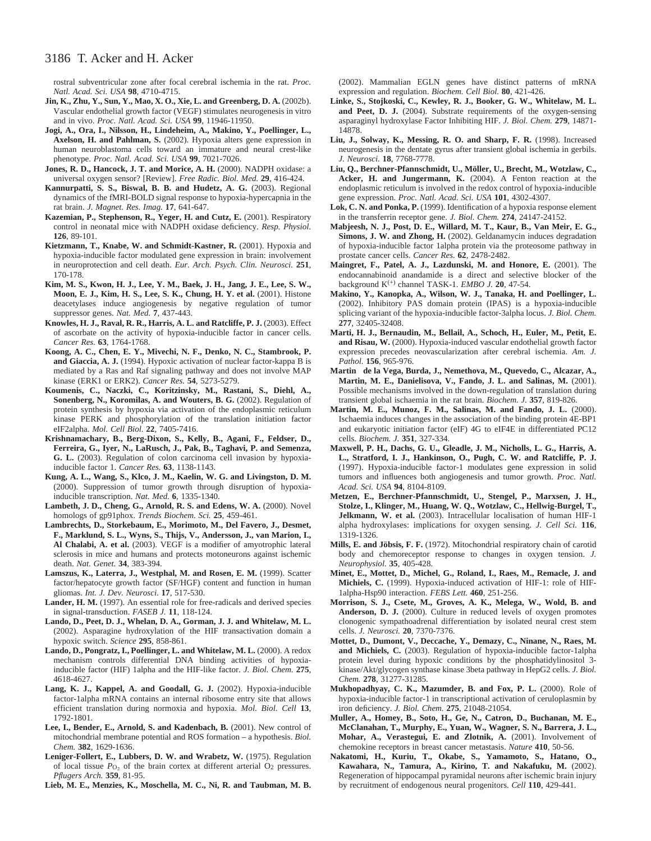rostral subventricular zone after focal cerebral ischemia in the rat. *Proc. Natl. Acad. Sci. USA* **98**, 4710-4715.

- **Jin, K., Zhu, Y., Sun, Y., Mao, X. O., Xie, L. and Greenberg, D. A.** (2002b). Vascular endothelial growth factor (VEGF) stimulates neurogenesis in vitro and in vivo. *Proc. Natl. Acad. Sci. USA* **99**, 11946-11950.
- **Jogi, A., Ora, I., Nilsson, H., Lindeheim, A., Makino, Y., Poellinger, L.,** Axelson, H. and Pahlman, S. (2002). Hypoxia alters gene expression in human neuroblastoma cells toward an immature and neural crest-like phenotype. *Proc. Natl. Acad. Sci. USA* **99**, 7021-7026.
- Jones, R. D., Hancock, J. T. and Morice, A. H. (2000). NADPH oxidase: a universal oxygen sensor? [Review]. *Free Radic. Biol. Med.* **29**, 416-424.
- Kannurpatti, S. S., Biswal, B. B. and Hudetz, A. G. (2003). Regional dynamics of the fMRI-BOLD signal response to hypoxia-hypercapnia in the rat brain. *J. Magnet. Res. Imag.* **17**, 641-647.
- Kazemian, P., Stephenson, R., Yeger, H. and Cutz, E. (2001). Respiratory control in neonatal mice with NADPH oxidase deficiency. *Resp. Physiol.* **126**, 89-101.
- Kietzmann, T., Knabe, W. and Schmidt-Kastner, R. (2001). Hypoxia and hypoxia-inducible factor modulated gene expression in brain: involvement in neuroprotection and cell death. *Eur. Arch. Psych. Clin. Neurosci.* **251**, 170-178.
- **Kim, M. S., Kwon, H. J., Lee, Y. M., Baek, J. H., Jang, J. E., Lee, S. W., Moon, E. J., Kim, H. S., Lee, S. K., Chung, H. Y. et al.** (2001). Histone deacetylases induce angiogenesis by negative regulation of tumor suppressor genes. *Nat. Med.* **7**, 437-443.
- Knowles, H. J., Raval, R. R., Harris, A. L. and Ratcliffe, P. J. (2003). Effect of ascorbate on the activity of hypoxia-inducible factor in cancer cells. *Cancer Res.* **63**, 1764-1768.
- **Koong, A. C., Chen, E. Y., Mivechi, N. F., Denko, N. C., Stambrook, P. and Giaccia, A. J.** (1994). Hypoxic activation of nuclear factor-kappa B is mediated by a Ras and Raf signaling pathway and does not involve MAP kinase (ERK1 or ERK2). *Cancer Res.* **54**, 5273-5279.
- **Koumenis, C., Naczki, C., Koritzinsky, M., Rastani, S., Diehl, A.,** Sonenberg, N., Koromilas, A. and Wouters, B. G. (2002). Regulation of protein synthesis by hypoxia via activation of the endoplasmic reticulum kinase PERK and phosphorylation of the translation initiation factor eIF2alpha. *Mol. Cell Biol.* **22**, 7405-7416.
- **Krishnamachary, B., Berg-Dixon, S., Kelly, B., Agani, F., Feldser, D., Ferreira, G., Iyer, N., LaRusch, J., Pak, B., Taghavi, P. and Semenza, G. L.** (2003). Regulation of colon carcinoma cell invasion by hypoxiainducible factor 1. *Cancer Res.* **63**, 1138-1143.
- **Kung, A. L., Wang, S., Klco, J. M., Kaelin, W. G. and Livingston, D. M.** (2000). Suppression of tumor growth through disruption of hypoxiainducible transcription. *Nat. Med.* **6**, 1335-1340.
- Lambeth, J. D., Cheng, G., Arnold, R. S. and Edens, W. A. (2000). Novel homologs of gp91phox. *Trends Biochem. Sci.* **25**, 459-461.
- **Lambrechts, D., Storkebaum, E., Morimoto, M., Del Favero, J., Desmet, F., Marklund, S. L., Wyns, S., Thijs, V., Andersson, J., van Marion, I., Al Chalabi, A. et al.** (2003). VEGF is a modifier of amyotrophic lateral sclerosis in mice and humans and protects motoneurons against ischemic death. *Nat. Genet.* **34**, 383-394.
- Lamszus, K., Laterra, J., Westphal, M. and Rosen, E. M. (1999). Scatter factor/hepatocyte growth factor (SF/HGF) content and function in human gliomas. *Int. J. Dev. Neurosci.* **17**, 517-530.
- Lander, H. M. (1997). An essential role for free-radicals and derived species in signal-transduction. *FASEB J.* **11**, 118-124.
- **Lando, D., Peet, D. J., Whelan, D. A., Gorman, J. J. and Whitelaw, M. L.** (2002). Asparagine hydroxylation of the HIF transactivation domain a hypoxic switch. *Science* **295**, 858-861.
- Lando, D., Pongratz, I., Poellinger, L. and Whitelaw, M. L. (2000). A redox mechanism controls differential DNA binding activities of hypoxiainducible factor (HIF) 1alpha and the HIF-like factor. *J. Biol. Chem.* **275**, 4618-4627.
- **Lang, K. J., Kappel, A. and Goodall, G. J.** (2002). Hypoxia-inducible factor-1alpha mRNA contains an internal ribosome entry site that allows efficient translation during normoxia and hypoxia. *Mol. Biol. Cell* **13**, 1792-1801.
- Lee, I., Bender, E., Arnold, S. and Kadenbach, B. (2001). New control of mitochondrial membrane potential and ROS formation – a hypothesis. *Biol. Chem.* **382**, 1629-1636.
- Leniger-Follert, E., Lubbers, D. W. and Wrabetz, W. (1975). Regulation of local tissue  $P<sub>O<sub>2</sub></sub>$  of the brain cortex at different arterial O<sub>2</sub> pressures. *Pflugers Arch.* **359**, 81-95.
- **Lieb, M. E., Menzies, K., Moschella, M. C., Ni, R. and Taubman, M. B.**

(2002). Mammalian EGLN genes have distinct patterns of mRNA expression and regulation. *Biochem. Cell Biol.* **80**, 421-426.

- **Linke, S., Stojkoski, C., Kewley, R. J., Booker, G. W., Whitelaw, M. L. and Peet, D. J.** (2004). Substrate requirements of the oxygen-sensing asparaginyl hydroxylase Factor Inhibiting HIF. *J. Biol. Chem.* **279**, 14871- 14878.
- **Liu, J., Solway, K., Messing, R. O. and Sharp, F. R.** (1998). Increased neurogenesis in the dentate gyrus after transient global ischemia in gerbils. *J. Neurosci.* **18**, 7768-7778.
- **Liu, Q., Berchner-Pfannschmidt, U., Möller, U., Brecht, M., Wotzlaw, C., Acker, H. and Jungermann, K.** (2004). A Fenton reaction at the endoplasmic reticulum is involved in the redox control of hypoxia-inducible gene expression. *Proc. Natl. Acad. Sci. USA* **101**, 4302-4307.
- Lok, C. N. and Ponka, P. (1999). Identification of a hypoxia response element in the transferrin receptor gene. *J. Biol. Chem.* **274**, 24147-24152.
- **Mabjeesh, N. J., Post, D. E., Willard, M. T., Kaur, B., Van Meir, E. G., Simons, J. W. and Zhong, H.** (2002). Geldanamycin induces degradation of hypoxia-inducible factor 1alpha protein via the proteosome pathway in prostate cancer cells. *Cancer Res.* **62**, 2478-2482.
- **Maingret, F., Patel, A. J., Lazdunski, M. and Honore, E.** (2001). The endocannabinoid anandamide is a direct and selective blocker of the background K(+) channel TASK-1. *EMBO J.* **20**, 47-54.
- **Makino, Y., Kanopka, A., Wilson, W. J., Tanaka, H. and Poellinger, L.** (2002). Inhibitory PAS domain protein (IPAS) is a hypoxia-inducible splicing variant of the hypoxia-inducible factor-3alpha locus. *J. Biol. Chem.* **277**, 32405-32408.
- **Marti, H. J., Bernaudin, M., Bellail, A., Schoch, H., Euler, M., Petit, E. and Risau, W.** (2000). Hypoxia-induced vascular endothelial growth factor expression precedes neovascularization after cerebral ischemia. *Am. J. Pathol.* **156**, 965-976.
- **Martin de la Vega, Burda, J., Nemethova, M., Quevedo, C., Alcazar, A., Martin, M. E., Danielisova, V., Fando, J. L. and Salinas, M.** (2001). Possible mechanisms involved in the down-regulation of translation during transient global ischaemia in the rat brain. *Biochem. J.* **357**, 819-826.
- **Martin, M. E., Munoz, F. M., Salinas, M. and Fando, J. L.** (2000). Ischaemia induces changes in the association of the binding protein 4E-BP1 and eukaryotic initiation factor (eIF) 4G to eIF4E in differentiated PC12 cells. *Biochem. J.* **351**, 327-334.
- **Maxwell, P. H., Dachs, G. U., Gleadle, J. M., Nicholls, L. G., Harris, A. L., Stratford, I. J., Hankinson, O., Pugh, C. W. and Ratcliffe, P. J.** (1997). Hypoxia-inducible factor-1 modulates gene expression in solid tumors and influences both angiogenesis and tumor growth. *Proc. Natl. Acad. Sci. USA* **94**, 8104-8109.
- **Metzen, E., Berchner-Pfannschmidt, U., Stengel, P., Marxsen, J. H., Stolze, I., Klinger, M., Huang, W. Q., Wotzlaw, C., Hellwig-Burgel, T., Jelkmann, W. et al.** (2003). Intracellular localisation of human HIF-1 alpha hydroxylases: implications for oxygen sensing. *J. Cell Sci.* **116**, 1319-1326.
- **Mills, E. and Jöbsis, F. F.** (1972). Mitochondrial respiratory chain of carotid body and chemoreceptor response to changes in oxygen tension. *J. Neurophysiol.* **35**, 405-428.
- **Minet, E., Mottet, D., Michel, G., Roland, I., Raes, M., Remacle, J. and Michiels, C.** (1999). Hypoxia-induced activation of HIF-1: role of HIF-1alpha-Hsp90 interaction. *FEBS Lett.* **460**, 251-256.
- **Morrison, S. J., Csete, M., Groves, A. K., Melega, W., Wold, B. and Anderson, D. J.** (2000). Culture in reduced levels of oxygen promotes clonogenic sympathoadrenal differentiation by isolated neural crest stem cells. *J. Neurosci.* **20**, 7370-7376.
- **Mottet, D., Dumont, V., Deccache, Y., Demazy, C., Ninane, N., Raes, M. and Michiels, C.** (2003). Regulation of hypoxia-inducible factor-1alpha protein level during hypoxic conditions by the phosphatidylinositol 3 kinase/Akt/glycogen synthase kinase 3beta pathway in HepG2 cells. *J. Biol. Chem.* **278**, 31277-31285.
- **Mukhopadhyay, C. K., Mazumder, B. and Fox, P. L.** (2000). Role of hypoxia-inducible factor-1 in transcriptional activation of ceruloplasmin by iron deficiency. *J. Biol. Chem.* **275**, 21048-21054.
- **Muller, A., Homey, B., Soto, H., Ge, N., Catron, D., Buchanan, M. E., McClanahan, T., Murphy, E., Yuan, W., Wagner, S. N., Barrera, J. L.,** Mohar, A., Verastegui, E. and Zlotnik, A. (2001). Involvement of chemokine receptors in breast cancer metastasis. *Nature* **410**, 50-56.
- **Nakatomi, H., Kuriu, T., Okabe, S., Yamamoto, S., Hatano, O., Kawahara, N., Tamura, A., Kirino, T. and Nakafuku, M.** (2002). Regeneration of hippocampal pyramidal neurons after ischemic brain injury by recruitment of endogenous neural progenitors. *Cell* **110**, 429-441.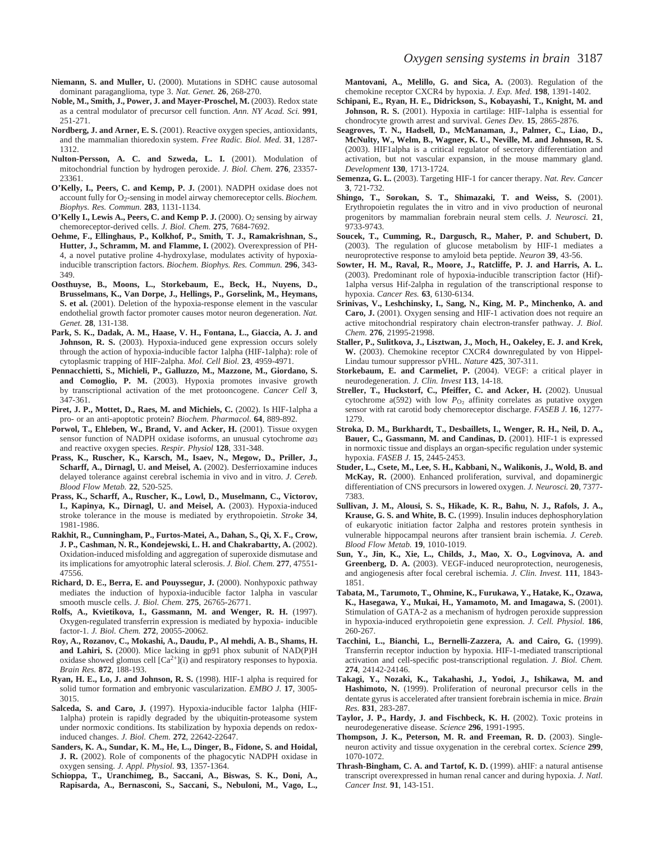- **Niemann, S. and Muller, U.** (2000). Mutations in SDHC cause autosomal dominant paraganglioma, type 3. *Nat. Genet.* **26**, 268-270.
- Noble, M., Smith, J., Power, J. and Mayer-Proschel, M. (2003). Redox state as a central modulator of precursor cell function. *Ann. NY Acad. Sci.* **991**, 251-271.
- **Nordberg, J. and Arner, E. S.** (2001). Reactive oxygen species, antioxidants, and the mammalian thioredoxin system. *Free Radic. Biol. Med.* **31**, 1287- 1312.
- Nulton-Persson, A. C. and Szweda, L. I. (2001). Modulation of mitochondrial function by hydrogen peroxide. *J. Biol. Chem.* **276**, 23357- 23361.
- **O'Kelly, I., Peers, C. and Kemp, P. J.** (2001). NADPH oxidase does not account fully for O<sub>2</sub>-sensing in model airway chemoreceptor cells. *Biochem*. *Biophys. Res. Commun.* **283**, 1131-1134.
- **O'Kelly I., Lewis A., Peers, C. and Kemp P. J.** (2000). O2 sensing by airway chemoreceptor-derived cells. *J. Biol. Chem.* **275**, 7684-7692.
- **Oehme, F., Ellinghaus, P., Kolkhof, P., Smith, T. J., Ramakrishnan, S.,** Hutter, J., Schramm, M. and Flamme, I. (2002). Overexpression of PH-4, a novel putative proline 4-hydroxylase, modulates activity of hypoxiainducible transcription factors. *Biochem. Biophys. Res. Commun.* **296**, 343- 349.
- **Oosthuyse, B., Moons, L., Storkebaum, E., Beck, H., Nuyens, D., Brusselmans, K., Van Dorpe, J., Hellings, P., Gorselink, M., Heymans, S. et al.** (2001). Deletion of the hypoxia-response element in the vascular endothelial growth factor promoter causes motor neuron degeneration. *Nat. Genet.* **28**, 131-138.
- **Park, S. K., Dadak, A. M., Haase, V. H., Fontana, L., Giaccia, A. J. and Johnson, R. S.** (2003). Hypoxia-induced gene expression occurs solely through the action of hypoxia-inducible factor 1alpha (HIF-1alpha): role of cytoplasmic trapping of HIF-2alpha. *Mol. Cell Biol.* **23**, 4959-4971.
- **Pennacchietti, S., Michieli, P., Galluzzo, M., Mazzone, M., Giordano, S.** and Comoglio, P. M. (2003). Hypoxia promotes invasive growth by transcriptional activation of the met protooncogene. *Cancer Cell* **3**, 347-361.
- Piret, J. P., Mottet, D., Raes, M. and Michiels, C. (2002). Is HIF-1alpha a pro- or an anti-apoptotic protein? *Biochem. Pharmacol.* **64**, 889-892.
- Porwol, T., Ehleben, W., Brand, V. and Acker, H. (2001). Tissue oxygen sensor function of NADPH oxidase isoforms, an unusual cytochrome *aa*3 and reactive oxygen species. *Respir. Physiol* **128**, 331-348.
- **Prass, K., Ruscher, K., Karsch, M., Isaev, N., Megow, D., Priller, J.,** Scharff, A., Dirnagl, U. and Meisel, A. (2002). Desferrioxamine induces delayed tolerance against cerebral ischemia in vivo and in vitro. *J. Cereb. Blood Flow Metab.* **22**, 520-525.
- **Prass, K., Scharff, A., Ruscher, K., Lowl, D., Muselmann, C., Victorov, I., Kapinya, K., Dirnagl, U. and Meisel, A.** (2003). Hypoxia-induced stroke tolerance in the mouse is mediated by erythropoietin. *Stroke* **34**, 1981-1986.
- **Rakhit, R., Cunningham, P., Furtos-Matei, A., Dahan, S., Qi, X. F., Crow, J. P., Cashman, N. R., Kondejewski, L. H. and Chakrabartty, A.** (2002). Oxidation-induced misfolding and aggregation of superoxide dismutase and its implications for amyotrophic lateral sclerosis. *J. Biol. Chem.* **277**, 47551- 47556.
- Richard, D. E., Berra, E. and Pouyssegur, J. (2000). Nonhypoxic pathway mediates the induction of hypoxia-inducible factor 1alpha in vascular smooth muscle cells. *J. Biol. Chem.* **275**, 26765-26771.
- **Rolfs, A., Kvietikova, I., Gassmann, M. and Wenger, R. H.** (1997). Oxygen-regulated transferrin expression is mediated by hypoxia- inducible factor-1. *J. Biol. Chem.* **272**, 20055-20062.
- **Roy, A., Rozanov, C., Mokashi, A., Daudu, P., Al mehdi, A. B., Shams, H.** and Lahiri, S. (2000). Mice lacking in gp91 phox subunit of NAD(P)H oxidase showed glomus cell  $[Ca^{2+}](i)$  and respiratory responses to hypoxia. *Brain Res.* **872**, 188-193.
- **Ryan, H. E., Lo, J. and Johnson, R. S.** (1998). HIF-1 alpha is required for solid tumor formation and embryonic vascularization. *EMBO J.* **17**, 3005- 3015.
- **Salceda, S. and Caro, J.** (1997). Hypoxia-inducible factor 1alpha (HIF-1alpha) protein is rapidly degraded by the ubiquitin-proteasome system under normoxic conditions. Its stabilization by hypoxia depends on redoxinduced changes. *J. Biol. Chem.* **272**, 22642-22647.
- **Sanders, K. A., Sundar, K. M., He, L., Dinger, B., Fidone, S. and Hoidal, J. R.** (2002). Role of components of the phagocytic NADPH oxidase in oxygen sensing. *J. Appl. Physiol.* **93**, 1357-1364.
- **Schioppa, T., Uranchimeg, B., Saccani, A., Biswas, S. K., Doni, A., Rapisarda, A., Bernasconi, S., Saccani, S., Nebuloni, M., Vago, L.,**

**Mantovani, A., Melillo, G. and Sica, A.** (2003). Regulation of the chemokine receptor CXCR4 by hypoxia. *J. Exp. Med.* **198**, 1391-1402.

- **Schipani, E., Ryan, H. E., Didrickson, S., Kobayashi, T., Knight, M. and Johnson, R. S.** (2001). Hypoxia in cartilage: HIF-1alpha is essential for chondrocyte growth arrest and survival. *Genes Dev.* **15**, 2865-2876.
- **Seagroves, T. N., Hadsell, D., McManaman, J., Palmer, C., Liao, D., McNulty, W., Welm, B., Wagner, K. U., Neville, M. and Johnson, R. S.** (2003). HIF1alpha is a critical regulator of secretory differentiation and activation, but not vascular expansion, in the mouse mammary gland. *Development* **130**, 1713-1724.
- **Semenza, G. L.** (2003). Targeting HIF-1 for cancer therapy. *Nat. Rev. Cancer* **3**, 721-732.
- **Shingo, T., Sorokan, S. T., Shimazaki, T. and Weiss, S.** (2001). Erythropoietin regulates the in vitro and in vivo production of neuronal progenitors by mammalian forebrain neural stem cells. *J. Neurosci.* **21**, 9733-9743.
- **Soucek, T., Cumming, R., Dargusch, R., Maher, P. and Schubert, D.** (2003). The regulation of glucose metabolism by HIF-1 mediates a neuroprotective response to amyloid beta peptide. *Neuron* **39**, 43-56.
- **Sowter, H. M., Raval, R., Moore, J., Ratcliffe, P. J. and Harris, A. L.** (2003). Predominant role of hypoxia-inducible transcription factor (Hif)- 1alpha versus Hif-2alpha in regulation of the transcriptional response to hypoxia. *Cancer Res.* **63**, 6130-6134.
- **Srinivas, V., Leshchinsky, I., Sang, N., King, M. P., Minchenko, A. and Caro, J.** (2001). Oxygen sensing and HIF-1 activation does not require an active mitochondrial respiratory chain electron-transfer pathway. *J. Biol. Chem.* **276**, 21995-21998.
- **Staller, P., Sulitkova, J., Lisztwan, J., Moch, H., Oakeley, E. J. and Krek, W.** (2003). Chemokine receptor CXCR4 downregulated by von Hippel-Lindau tumour suppressor pVHL. *Nature* **425**, 307-311.
- **Storkebaum, E. and Carmeliet, P.** (2004). VEGF: a critical player in neurodegeneration. *J. Clin. Invest* **113**, 14-18.
- Streller, T., Huckstorf, C., Pfeiffer, C. and Acker, H. (2002). Unusual cytochrome a(592) with low  $P_{\text{O}_2}$  affinity correlates as putative oxygen sensor with rat carotid body chemoreceptor discharge. *FASEB J.* **16**, 1277- 1279.
- **Stroka, D. M., Burkhardt, T., Desbaillets, I., Wenger, R. H., Neil, D. A., Bauer, C., Gassmann, M. and Candinas, D.** (2001). HIF-1 is expressed in normoxic tissue and displays an organ-specific regulation under systemic hypoxia. *FASEB J.* **15**, 2445-2453.
- **Studer, L., Csete, M., Lee, S. H., Kabbani, N., Walikonis, J., Wold, B. and McKay, R.** (2000). Enhanced proliferation, survival, and dopaminergic differentiation of CNS precursors in lowered oxygen. *J. Neurosci.* **20**, 7377- 7383.
- **Sullivan, J. M., Alousi, S. S., Hikade, K. R., Bahu, N. J., Rafols, J. A., Krause, G. S. and White, B. C.** (1999). Insulin induces dephosphorylation of eukaryotic initiation factor 2alpha and restores protein synthesis in vulnerable hippocampal neurons after transient brain ischemia. *J. Cereb. Blood Flow Metab.* **19**, 1010-1019.
- **Sun, Y., Jin, K., Xie, L., Childs, J., Mao, X. O., Logvinova, A. and Greenberg, D. A.** (2003). VEGF-induced neuroprotection, neurogenesis, and angiogenesis after focal cerebral ischemia. *J. Clin. Invest.* **111**, 1843- 1851.
- **Tabata, M., Tarumoto, T., Ohmine, K., Furukawa, Y., Hatake, K., Ozawa, K., Hasegawa, Y., Mukai, H., Yamamoto, M. and Imagawa, S.** (2001). Stimulation of GATA-2 as a mechanism of hydrogen peroxide suppression in hypoxia-induced erythropoietin gene expression. *J. Cell. Physiol.* **186**, 260-267.
- **Tacchini, L., Bianchi, L., Bernelli-Zazzera, A. and Cairo, G.** (1999). Transferrin receptor induction by hypoxia. HIF-1-mediated transcriptional activation and cell-specific post-transcriptional regulation. *J. Biol. Chem.* **274**, 24142-24146.
- **Takagi, Y., Nozaki, K., Takahashi, J., Yodoi, J., Ishikawa, M. and Hashimoto, N.** (1999). Proliferation of neuronal precursor cells in the dentate gyrus is accelerated after transient forebrain ischemia in mice. *Brain Res.* **831**, 283-287.
- Taylor, J. P., Hardy, J. and Fischbeck, K. H. (2002). Toxic proteins in neurodegenerative disease. *Science* **296**, 1991-1995.
- Thompson, J. K., Peterson, M. R. and Freeman, R. D. (2003). Singleneuron activity and tissue oxygenation in the cerebral cortex. *Science* **299**, 1070-1072.
- **Thrash-Bingham, C. A. and Tartof, K. D.** (1999). aHIF: a natural antisense transcript overexpressed in human renal cancer and during hypoxia. *J. Natl. Cancer Inst.* **91**, 143-151.